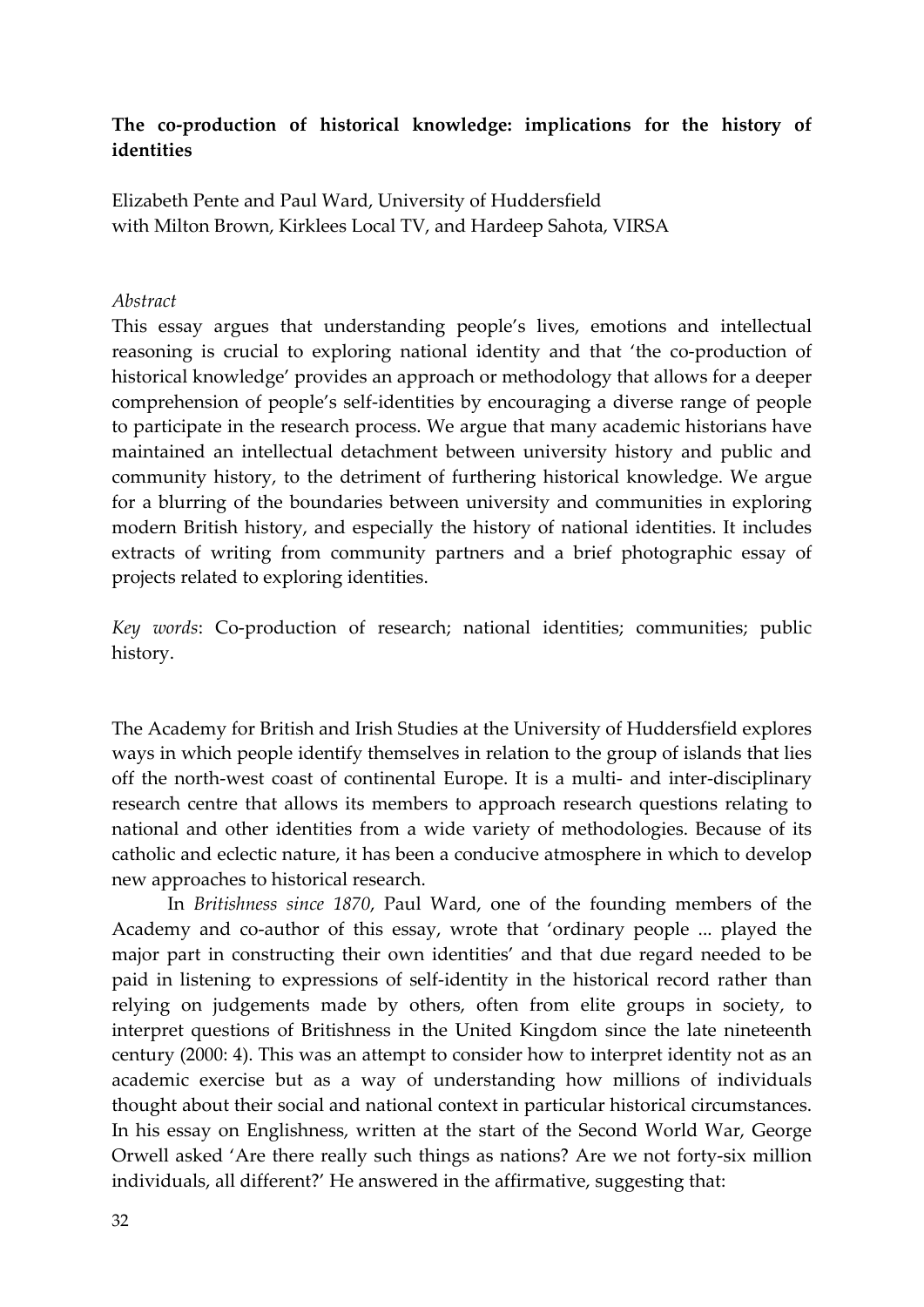# **The co‐production of historical knowledge: implications for the history of identities**

Elizabeth Pente and Paul Ward, University of Huddersfield with Milton Brown, Kirklees Local TV, and Hardeep Sahota, VIRSA

#### *Abstract*

This essay argues that understanding people's lives, emotions and intellectual reasoning is crucial to exploring national identity and that 'the co-production of historical knowledge' provides an approach or methodology that allows for a deeper comprehension of people's self‐identities by encouraging a diverse range of people to participate in the research process. We argue that many academic historians have maintained an intellectual detachment between university history and public and community history, to the detriment of furthering historical knowledge. We argue for a blurring of the boundaries between university and communities in exploring modern British history, and especially the history of national identities. It includes extracts of writing from community partners and a brief photographic essay of projects related to exploring identities.

*Key words*: Co‐production of research; national identities; communities; public history.

The Academy for British and Irish Studies at the University of Huddersfield explores ways in which people identify themselves in relation to the group of islands that lies off the north‐west coast of continental Europe. It is a multi‐ and inter‐disciplinary research centre that allows its members to approach research questions relating to national and other identities from a wide variety of methodologies. Because of its catholic and eclectic nature, it has been a conducive atmosphere in which to develop new approaches to historical research.

In *Britishness since 1870*, Paul Ward, one of the founding members of the Academy and co-author of this essay, wrote that 'ordinary people ... played the major part in constructing their own identities' and that due regard needed to be paid in listening to expressions of self‐identity in the historical record rather than relying on judgements made by others, often from elite groups in society, to interpret questions of Britishness in the United Kingdom since the late nineteenth century (2000: 4). This was an attempt to consider how to interpret identity not as an academic exercise but as a way of understanding how millions of individuals thought about their social and national context in particular historical circumstances. In his essay on Englishness, written at the start of the Second World War, George Orwell asked 'Are there really such things as nations? Are we not forty‐six million individuals, all different?' He answered in the affirmative, suggesting that: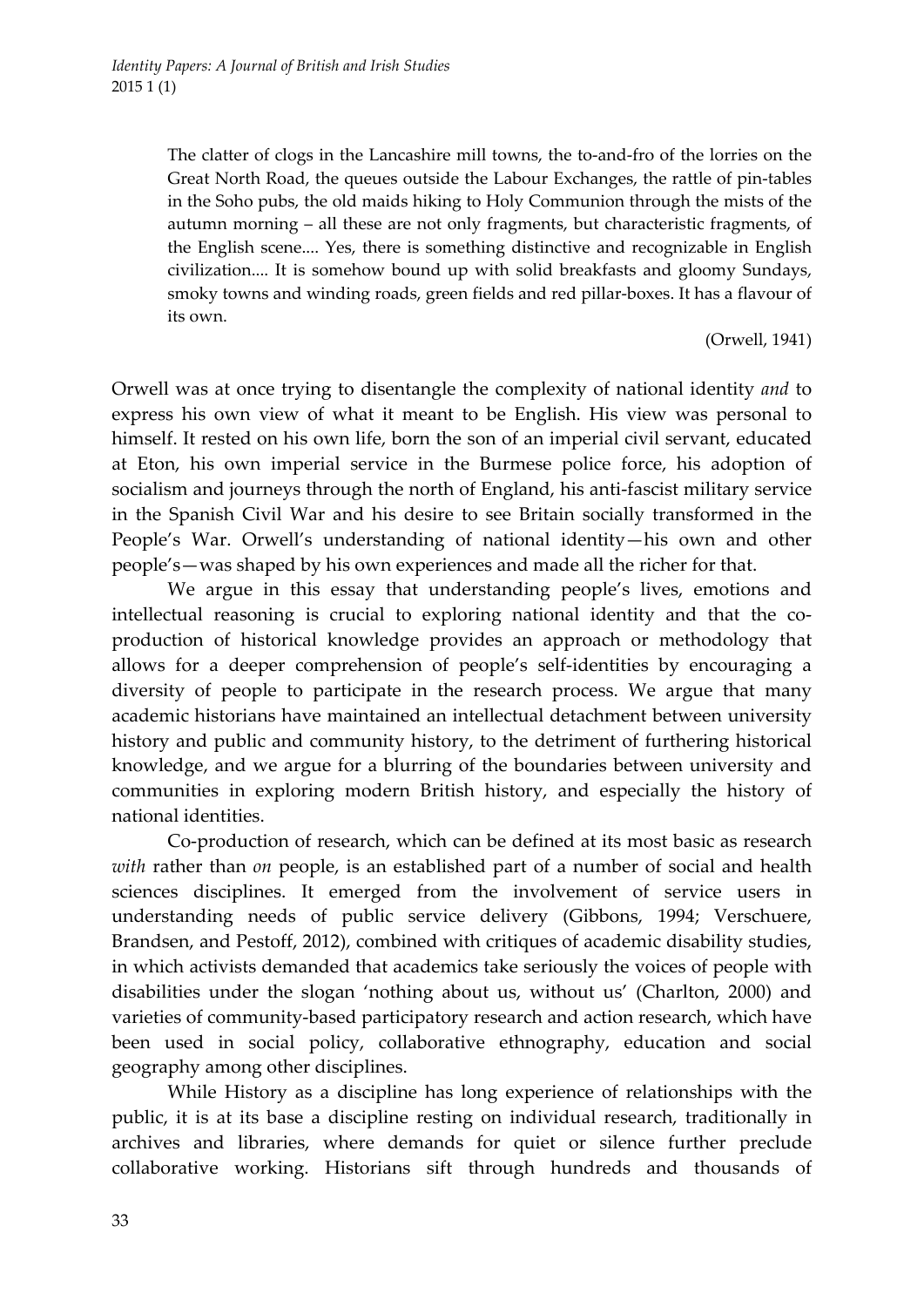The clatter of clogs in the Lancashire mill towns, the to-and-fro of the lorries on the Great North Road, the queues outside the Labour Exchanges, the rattle of pin-tables in the Soho pubs, the old maids hiking to Holy Communion through the mists of the autumn morning – all these are not only fragments, but characteristic fragments, of the English scene.... Yes, there is something distinctive and recognizable in English civilization.... It is somehow bound up with solid breakfasts and gloomy Sundays, smoky towns and winding roads, green fields and red pillar‐boxes. It has a flavour of its own.

(Orwell, 1941)

Orwell was at once trying to disentangle the complexity of national identity *and* to express his own view of what it meant to be English. His view was personal to himself. It rested on his own life, born the son of an imperial civil servant, educated at Eton, his own imperial service in the Burmese police force, his adoption of socialism and journeys through the north of England, his anti-fascist military service in the Spanish Civil War and his desire to see Britain socially transformed in the People's War. Orwell's understanding of national identity—his own and other people's—was shaped by his own experiences and made all the richer for that.

We argue in this essay that understanding people's lives, emotions and intellectual reasoning is crucial to exploring national identity and that the coproduction of historical knowledge provides an approach or methodology that allows for a deeper comprehension of people's self‐identities by encouraging a diversity of people to participate in the research process. We argue that many academic historians have maintained an intellectual detachment between university history and public and community history, to the detriment of furthering historical knowledge, and we argue for a blurring of the boundaries between university and communities in exploring modern British history, and especially the history of national identities.

Co‐production of research, which can be defined at its most basic as research *with* rather than *on* people, is an established part of a number of social and health sciences disciplines. It emerged from the involvement of service users in understanding needs of public service delivery (Gibbons, 1994; Verschuere, Brandsen, and Pestoff, 2012), combined with critiques of academic disability studies, in which activists demanded that academics take seriously the voices of people with disabilities under the slogan 'nothing about us, without us' (Charlton, 2000) and varieties of community-based participatory research and action research, which have been used in social policy, collaborative ethnography, education and social geography among other disciplines.

While History as a discipline has long experience of relationships with the public, it is at its base a discipline resting on individual research, traditionally in archives and libraries, where demands for quiet or silence further preclude collaborative working. Historians sift through hundreds and thousands of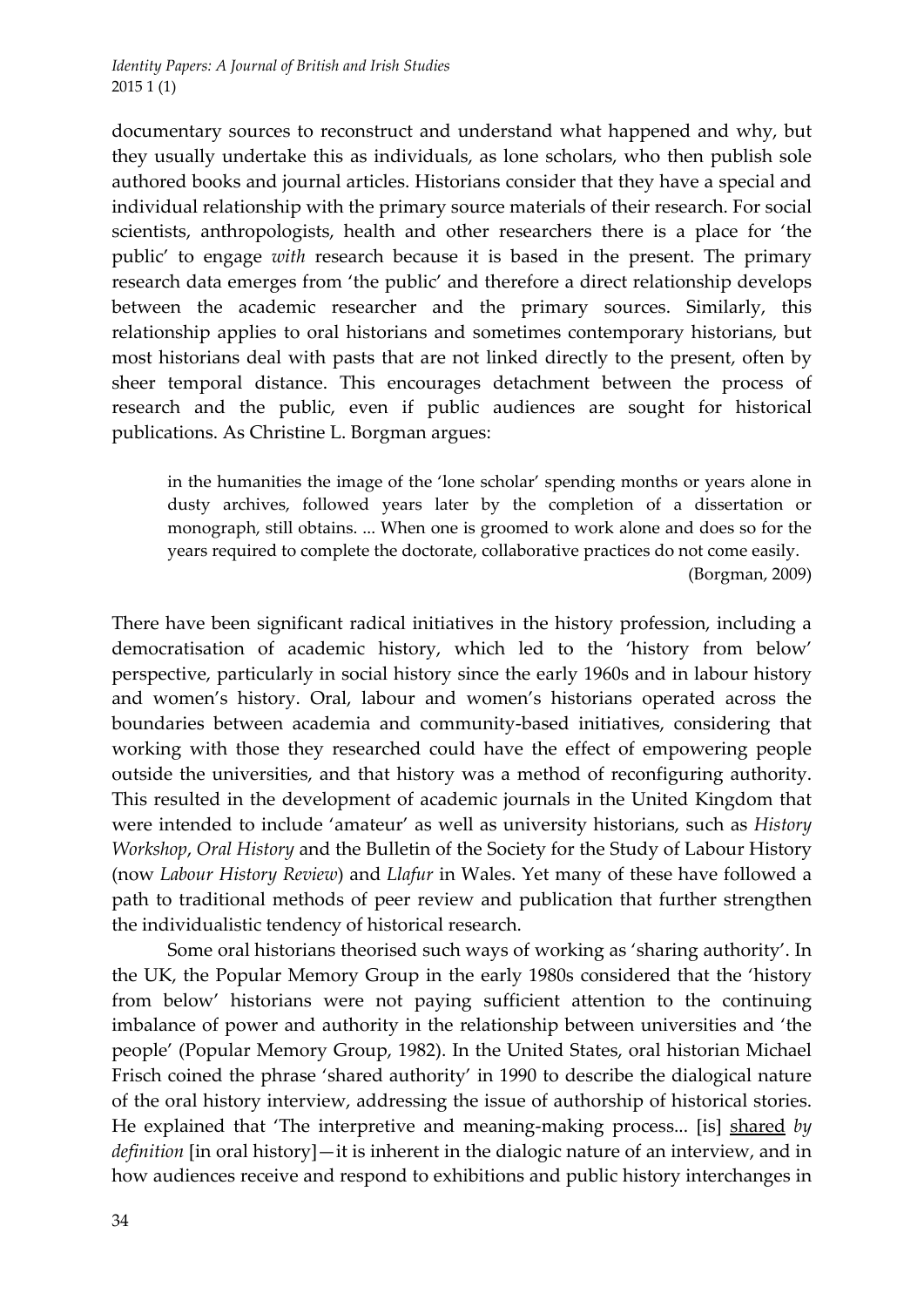documentary sources to reconstruct and understand what happened and why, but they usually undertake this as individuals, as lone scholars, who then publish sole authored books and journal articles. Historians consider that they have a special and individual relationship with the primary source materials of their research. For social scientists, anthropologists, health and other researchers there is a place for 'the public' to engage *with* research because it is based in the present. The primary research data emerges from 'the public' and therefore a direct relationship develops between the academic researcher and the primary sources. Similarly, this relationship applies to oral historians and sometimes contemporary historians, but most historians deal with pasts that are not linked directly to the present, often by sheer temporal distance. This encourages detachment between the process of research and the public, even if public audiences are sought for historical publications. As Christine L. Borgman argues:

in the humanities the image of the 'lone scholar' spending months or years alone in dusty archives, followed years later by the completion of a dissertation or monograph, still obtains. ... When one is groomed to work alone and does so for the years required to complete the doctorate, collaborative practices do not come easily.

(Borgman, 2009)

There have been significant radical initiatives in the history profession, including a democratisation of academic history, which led to the 'history from below' perspective, particularly in social history since the early 1960s and in labour history and women's history. Oral, labour and women's historians operated across the boundaries between academia and community‐based initiatives, considering that working with those they researched could have the effect of empowering people outside the universities, and that history was a method of reconfiguring authority. This resulted in the development of academic journals in the United Kingdom that were intended to include 'amateur' as well as university historians, such as *History Workshop*, *Oral History* and the Bulletin of the Society for the Study of Labour History (now *Labour History Review*) and *Llafur* in Wales. Yet many of these have followed a path to traditional methods of peer review and publication that further strengthen the individualistic tendency of historical research.

Some oral historians theorised such ways of working as 'sharing authority'. In the UK, the Popular Memory Group in the early 1980s considered that the 'history from below' historians were not paying sufficient attention to the continuing imbalance of power and authority in the relationship between universities and 'the people' (Popular Memory Group, 1982). In the United States, oral historian Michael Frisch coined the phrase 'shared authority' in 1990 to describe the dialogical nature of the oral history interview, addressing the issue of authorship of historical stories. He explained that 'The interpretive and meaning‐making process... [is] shared *by definition* [in oral history]—it is inherent in the dialogic nature of an interview, and in how audiences receive and respond to exhibitions and public history interchanges in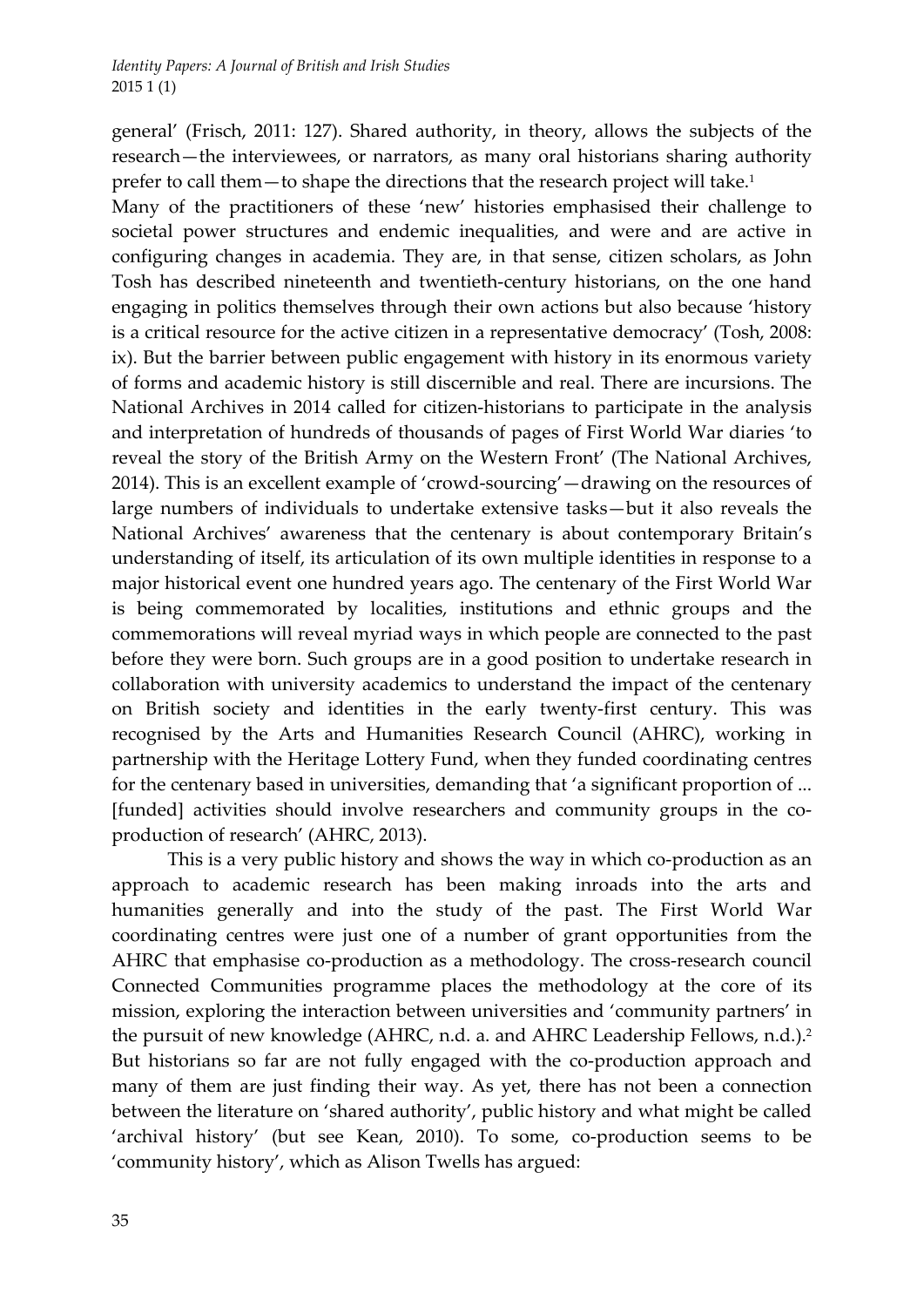general' (Frisch, 2011: 127). Shared authority, in theory, allows the subjects of the research—the interviewees, or narrators, as many oral historians sharing authority prefer to call them—to shape the directions that the research project will take.1

Many of the practitioners of these 'new' histories emphasised their challenge to societal power structures and endemic inequalities, and were and are active in configuring changes in academia. They are, in that sense, citizen scholars, as John Tosh has described nineteenth and twentieth‐century historians, on the one hand engaging in politics themselves through their own actions but also because 'history is a critical resource for the active citizen in a representative democracy' (Tosh, 2008: ix). But the barrier between public engagement with history in its enormous variety of forms and academic history is still discernible and real. There are incursions. The National Archives in 2014 called for citizen‐historians to participate in the analysis and interpretation of hundreds of thousands of pages of First World War diaries 'to reveal the story of the British Army on the Western Front' (The National Archives, 2014). This is an excellent example of 'crowd‐sourcing'—drawing on the resources of large numbers of individuals to undertake extensive tasks—but it also reveals the National Archives' awareness that the centenary is about contemporary Britain's understanding of itself, its articulation of its own multiple identities in response to a major historical event one hundred years ago. The centenary of the First World War is being commemorated by localities, institutions and ethnic groups and the commemorations will reveal myriad ways in which people are connected to the past before they were born. Such groups are in a good position to undertake research in collaboration with university academics to understand the impact of the centenary on British society and identities in the early twenty‐first century. This was recognised by the Arts and Humanities Research Council (AHRC), working in partnership with the Heritage Lottery Fund, when they funded coordinating centres for the centenary based in universities, demanding that 'a significant proportion of ... [funded] activities should involve researchers and community groups in the coproduction of research' (AHRC, 2013).

This is a very public history and shows the way in which co-production as an approach to academic research has been making inroads into the arts and humanities generally and into the study of the past. The First World War coordinating centres were just one of a number of grant opportunities from the AHRC that emphasise co-production as a methodology. The cross-research council Connected Communities programme places the methodology at the core of its mission, exploring the interaction between universities and 'community partners' in the pursuit of new knowledge (AHRC, n.d. a. and AHRC Leadership Fellows, n.d.).<sup>2</sup> But historians so far are not fully engaged with the co-production approach and many of them are just finding their way. As yet, there has not been a connection between the literature on 'shared authority', public history and what might be called 'archival history' (but see Kean, 2010). To some, co-production seems to be 'community history', which as Alison Twells has argued: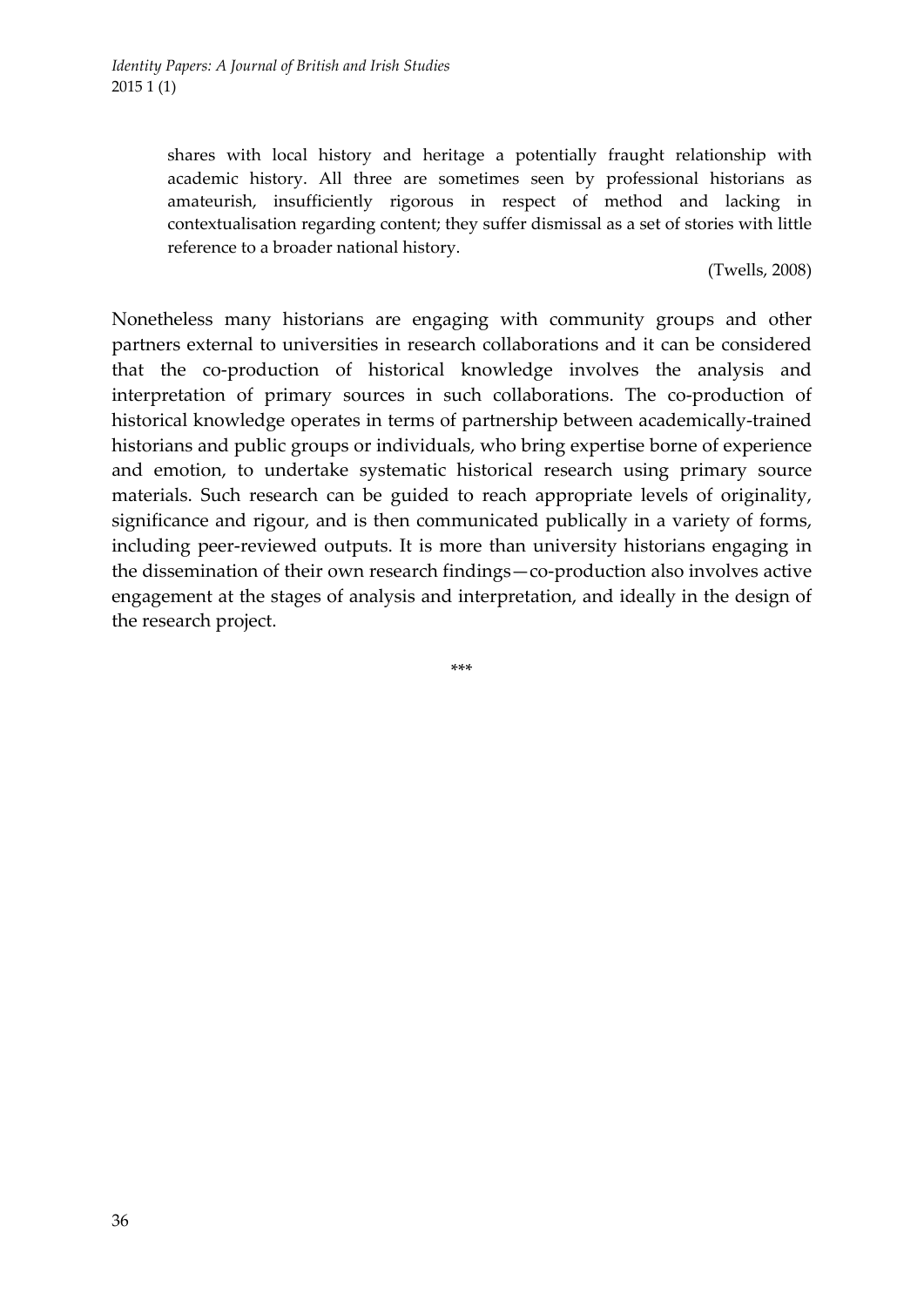shares with local history and heritage a potentially fraught relationship with academic history. All three are sometimes seen by professional historians as amateurish, insufficiently rigorous in respect of method and lacking in contextualisation regarding content; they suffer dismissal as a set of stories with little reference to a broader national history.

(Twells, 2008)

Nonetheless many historians are engaging with community groups and other partners external to universities in research collaborations and it can be considered that the co‐production of historical knowledge involves the analysis and interpretation of primary sources in such collaborations. The co-production of historical knowledge operates in terms of partnership between academically-trained historians and public groups or individuals, who bring expertise borne of experience and emotion, to undertake systematic historical research using primary source materials. Such research can be guided to reach appropriate levels of originality, significance and rigour, and is then communicated publically in a variety of forms, including peer‐reviewed outputs. It is more than university historians engaging in the dissemination of their own research findings—co‐production also involves active engagement at the stages of analysis and interpretation, and ideally in the design of the research project.

\*\*\*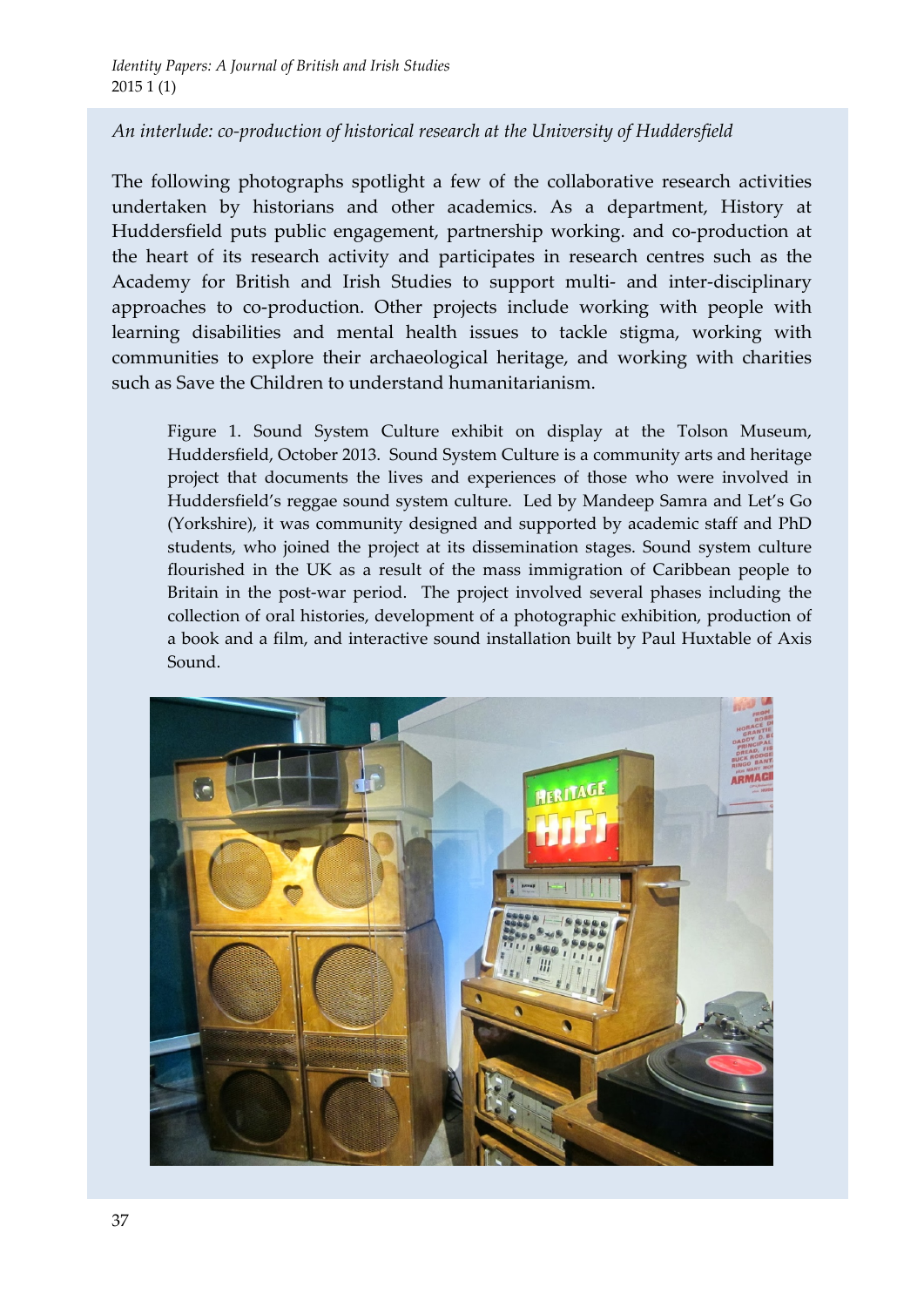# *An interlude: co‐production of historical research at the University of Huddersfield*

The following photographs spotlight a few of the collaborative research activities undertaken by historians and other academics. As a department, History at Huddersfield puts public engagement, partnership working. and co-production at the heart of its research activity and participates in research centres such as the Academy for British and Irish Studies to support multi- and inter-disciplinary approaches to co-production. Other projects include working with people with learning disabilities and mental health issues to tackle stigma, working with communities to explore their archaeological heritage, and working with charities such as Save the Children to understand humanitarianism.

Figure 1. Sound System Culture exhibit on display at the Tolson Museum, Huddersfield, October 2013. Sound System Culture is a community arts and heritage project that documents the lives and experiences of those who were involved in Huddersfield's reggae sound system culture. Led by Mandeep Samra and Let's Go (Yorkshire), it was community designed and supported by academic staff and PhD students, who joined the project at its dissemination stages. Sound system culture flourished in the UK as a result of the mass immigration of Caribbean people to Britain in the post-war period. The project involved several phases including the collection of oral histories, development of a photographic exhibition, production of a book and a film, and interactive sound installation built by Paul Huxtable of Axis Sound.

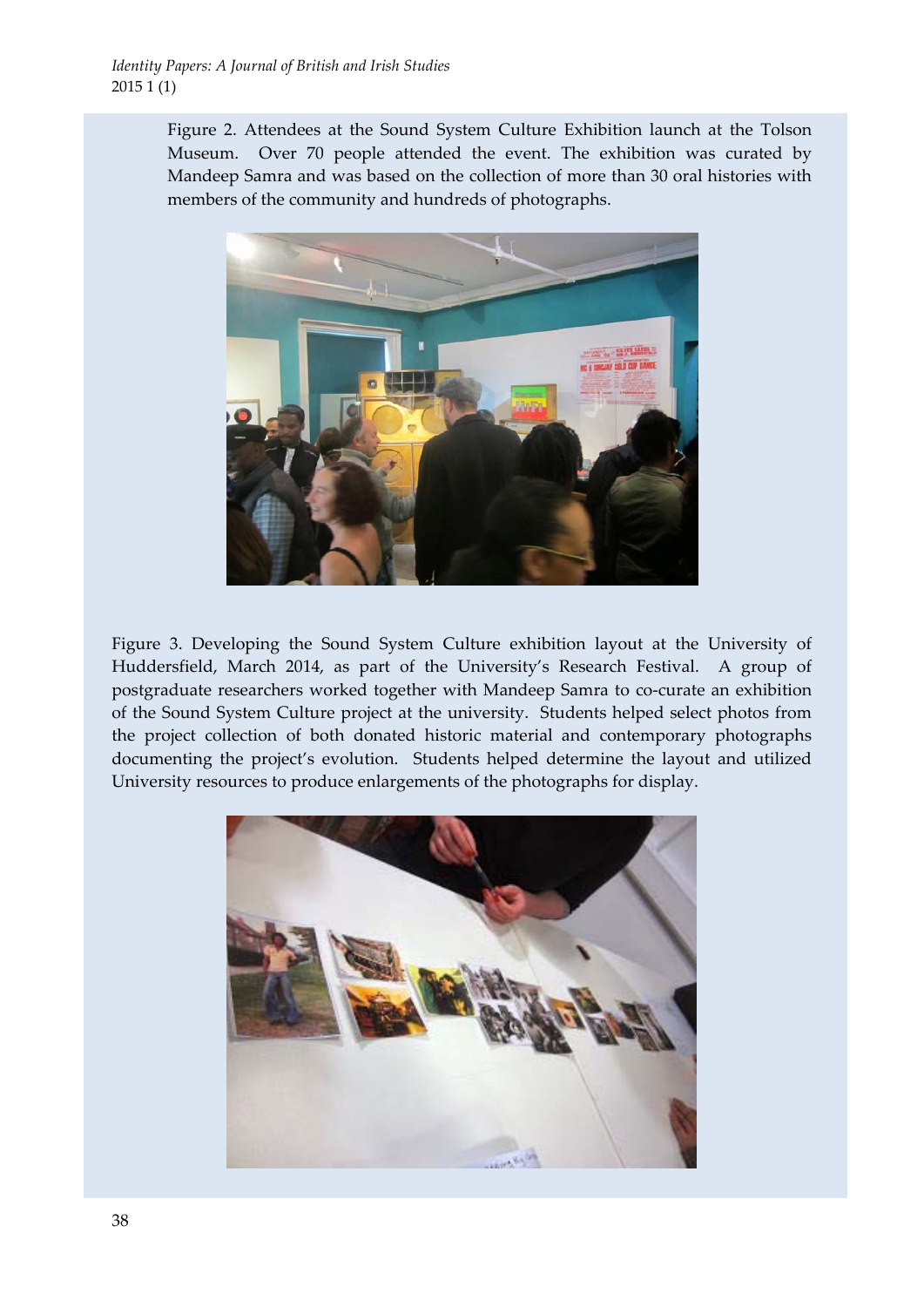Figure 2. Attendees at the Sound System Culture Exhibition launch at the Tolson Museum. Over 70 people attended the event. The exhibition was curated by Mandeep Samra and was based on the collection of more than 30 oral histories with members of the community and hundreds of photographs.



Figure 3. Developing the Sound System Culture exhibition layout at the University of Huddersfield, March 2014, as part of the University's Research Festival. A group of postgraduate researchers worked together with Mandeep Samra to co‐curate an exhibition of the Sound System Culture project at the university. Students helped select photos from the project collection of both donated historic material and contemporary photographs documenting the project's evolution. Students helped determine the layout and utilized University resources to produce enlargements of the photographs for display.

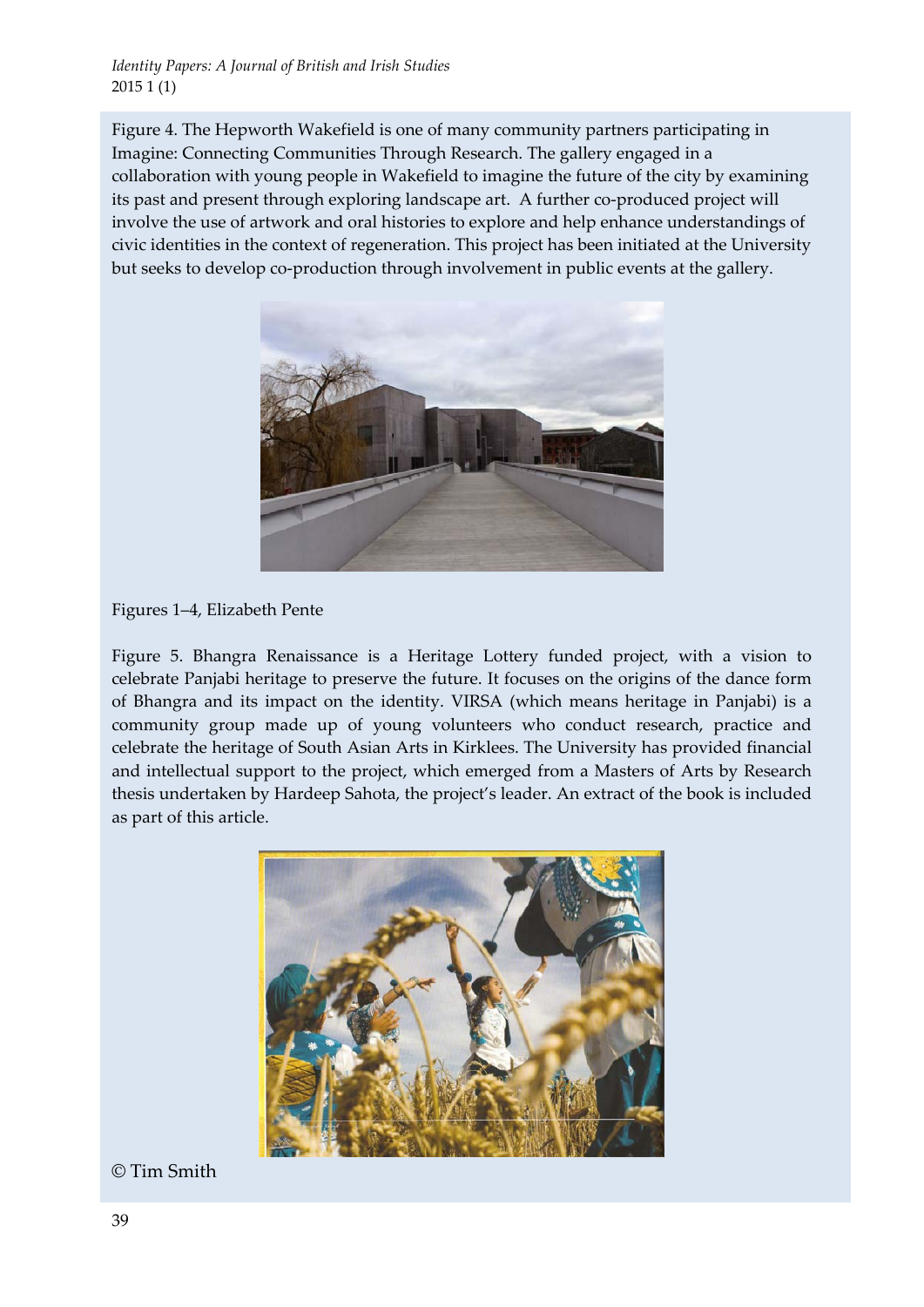Figure 4. The Hepworth Wakefield is one of many community partners participating in Imagine: Connecting Communities Through Research. The gallery engaged in a collaboration with young people in Wakefield to imagine the future of the city by examining its past and present through exploring landscape art. A further co-produced project will involve the use of artwork and oral histories to explore and help enhance understandings of civic identities in the context of regeneration. This project has been initiated at the University but seeks to develop co‐production through involvement in public events at the gallery.



Figures 1–4, Elizabeth Pente

Figure 5. Bhangra Renaissance is a Heritage Lottery funded project, with a vision to celebrate Panjabi heritage to preserve the future. It focuses on the origins of the dance form of Bhangra and its impact on the identity. VIRSA (which means heritage in Panjabi) is a community group made up of young volunteers who conduct research, practice and celebrate the heritage of South Asian Arts in Kirklees. The University has provided financial and intellectual support to the project, which emerged from a Masters of Arts by Research thesis undertaken by Hardeep Sahota, the project's leader. An extract of the book is included as part of this article.



© Tim Smith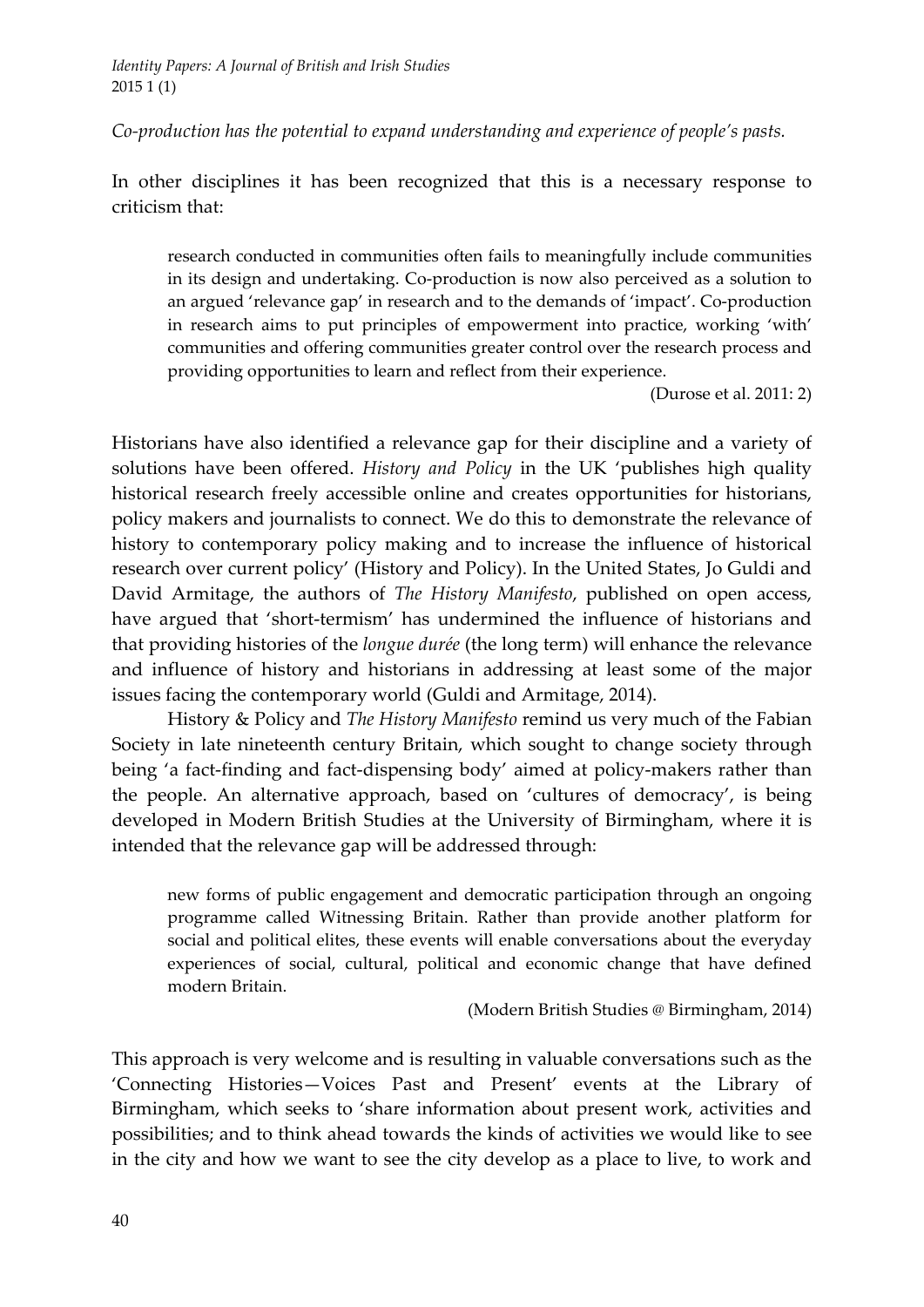*Co‐production has the potential to expand understanding and experience of people's pasts.* 

In other disciplines it has been recognized that this is a necessary response to criticism that:

research conducted in communities often fails to meaningfully include communities in its design and undertaking. Co‐production is now also perceived as a solution to an argued 'relevance gap' in research and to the demands of 'impact'. Co‐production in research aims to put principles of empowerment into practice, working 'with' communities and offering communities greater control over the research process and providing opportunities to learn and reflect from their experience.

(Durose et al. 2011: 2)

Historians have also identified a relevance gap for their discipline and a variety of solutions have been offered. *History and Policy* in the UK 'publishes high quality historical research freely accessible online and creates opportunities for historians, policy makers and journalists to connect. We do this to demonstrate the relevance of history to contemporary policy making and to increase the influence of historical research over current policy' (History and Policy). In the United States, Jo Guldi and David Armitage, the authors of *The History Manifesto*, published on open access, have argued that 'short-termism' has undermined the influence of historians and that providing histories of the *longue durée* (the long term) will enhance the relevance and influence of history and historians in addressing at least some of the major issues facing the contemporary world (Guldi and Armitage, 2014).

History & Policy and *The History Manifesto* remind us very much of the Fabian Society in late nineteenth century Britain, which sought to change society through being 'a fact-finding and fact-dispensing body' aimed at policy-makers rather than the people. An alternative approach, based on 'cultures of democracy', is being developed in Modern British Studies at the University of Birmingham, where it is intended that the relevance gap will be addressed through:

new forms of public engagement and democratic participation through an ongoing programme called Witnessing Britain. Rather than provide another platform for social and political elites, these events will enable conversations about the everyday experiences of social, cultural, political and economic change that have defined modern Britain.

(Modern British Studies @ Birmingham, 2014)

This approach is very welcome and is resulting in valuable conversations such as the 'Connecting Histories—Voices Past and Present' events at the Library of Birmingham, which seeks to 'share information about present work, activities and possibilities; and to think ahead towards the kinds of activities we would like to see in the city and how we want to see the city develop as a place to live, to work and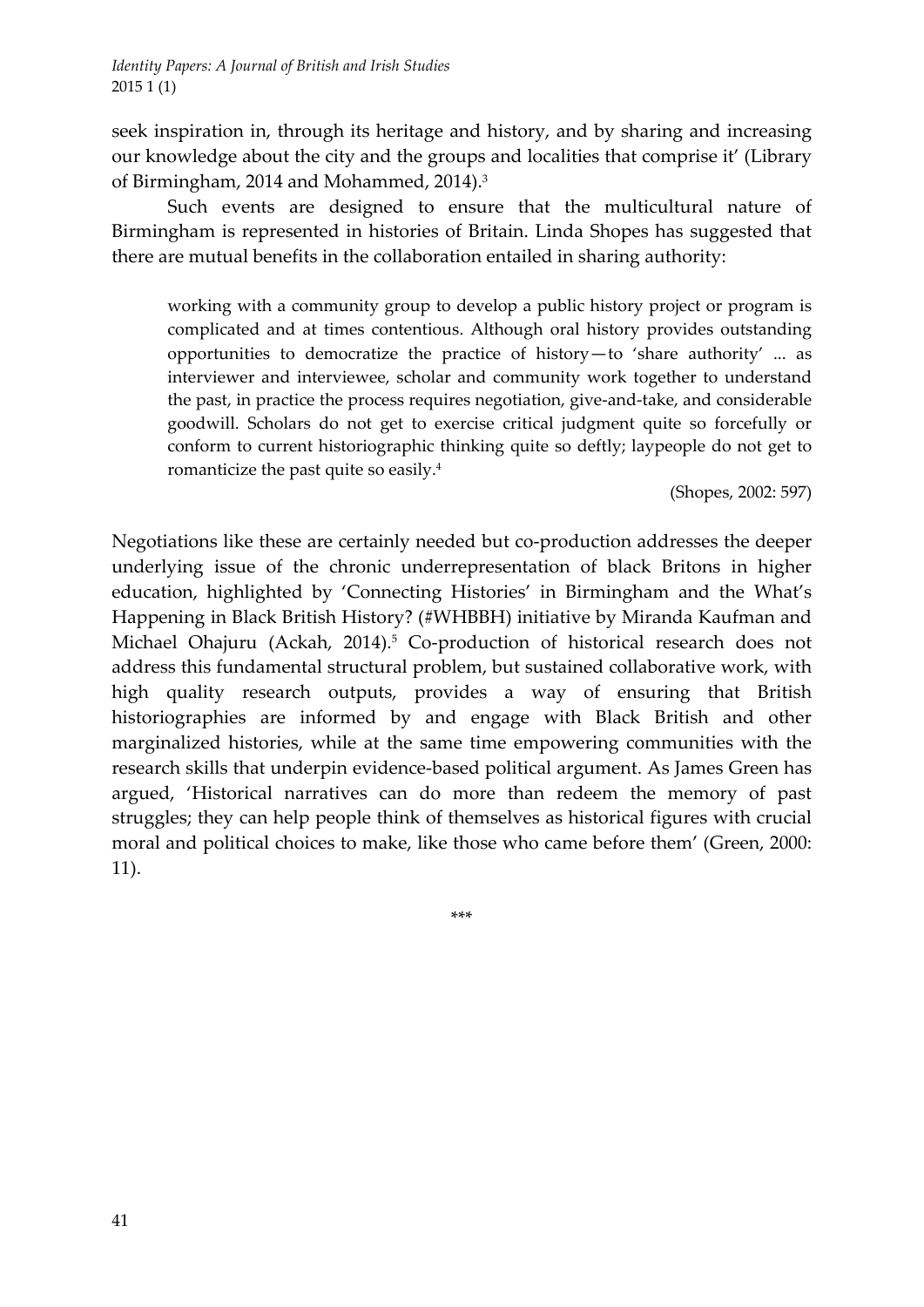seek inspiration in, through its heritage and history, and by sharing and increasing our knowledge about the city and the groups and localities that comprise it' (Library of Birmingham, 2014 and Mohammed, 2014).3

Such events are designed to ensure that the multicultural nature of Birmingham is represented in histories of Britain. Linda Shopes has suggested that there are mutual benefits in the collaboration entailed in sharing authority:

working with a community group to develop a public history project or program is complicated and at times contentious. Although oral history provides outstanding opportunities to democratize the practice of history—to 'share authority' ... as interviewer and interviewee, scholar and community work together to understand the past, in practice the process requires negotiation, give‐and‐take, and considerable goodwill. Scholars do not get to exercise critical judgment quite so forcefully or conform to current historiographic thinking quite so deftly; laypeople do not get to romanticize the past quite so easily.4

(Shopes, 2002: 597)

Negotiations like these are certainly needed but co-production addresses the deeper underlying issue of the chronic underrepresentation of black Britons in higher education, highlighted by 'Connecting Histories' in Birmingham and the What's Happening in Black British History? (#WHBBH) initiative by Miranda Kaufman and Michael Ohajuru (Ackah, 2014).<sup>5</sup> Co-production of historical research does not address this fundamental structural problem, but sustained collaborative work, with high quality research outputs, provides a way of ensuring that British historiographies are informed by and engage with Black British and other marginalized histories, while at the same time empowering communities with the research skills that underpin evidence‐based political argument. As James Green has argued, 'Historical narratives can do more than redeem the memory of past struggles; they can help people think of themselves as historical figures with crucial moral and political choices to make, like those who came before them' (Green, 2000: 11).

\*\*\*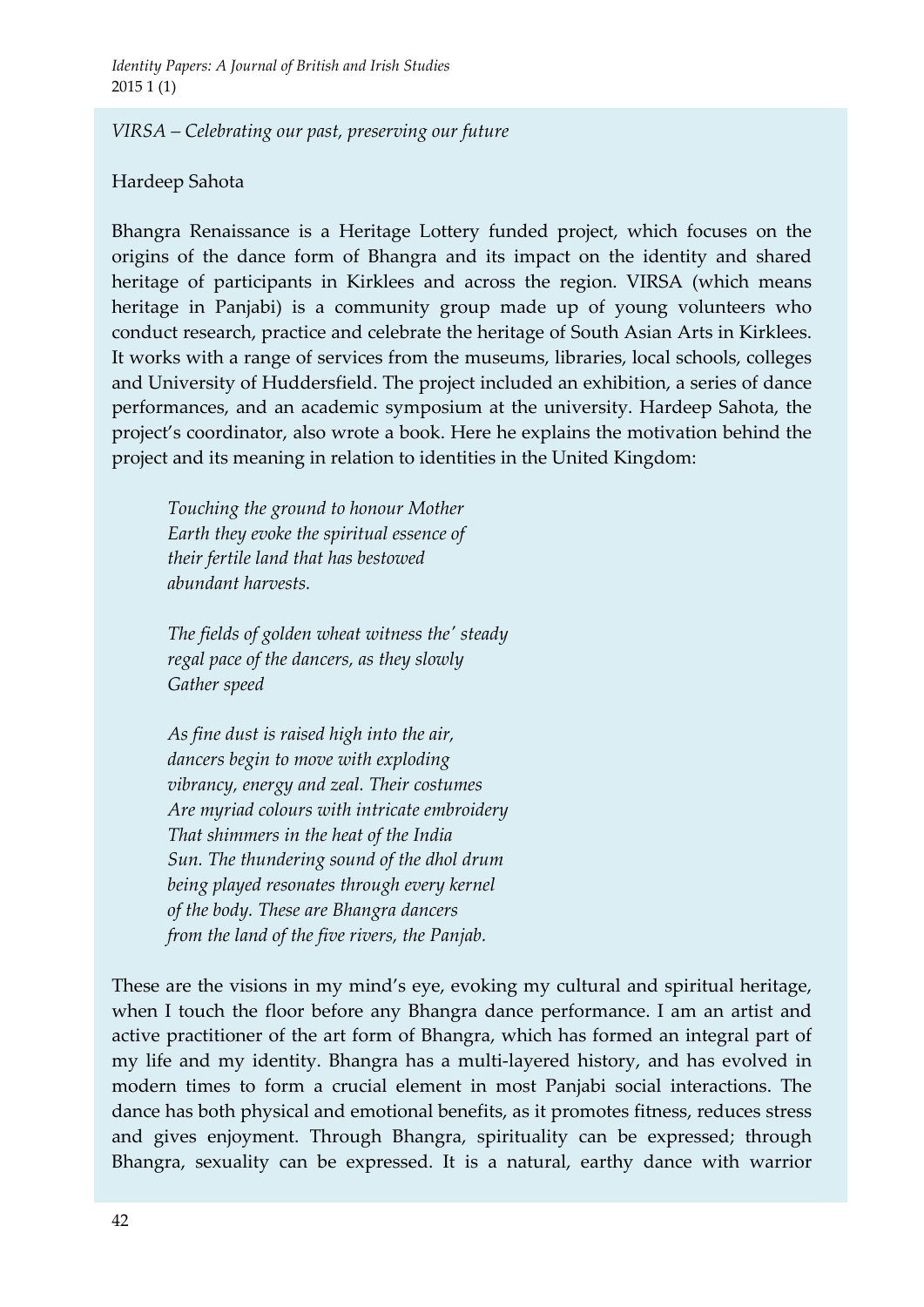## *VIRSA – Celebrating our past, preserving our future*

## Hardeep Sahota

Bhangra Renaissance is a Heritage Lottery funded project, which focuses on the origins of the dance form of Bhangra and its impact on the identity and shared heritage of participants in Kirklees and across the region. VIRSA (which means heritage in Panjabi) is a community group made up of young volunteers who conduct research, practice and celebrate the heritage of South Asian Arts in Kirklees. It works with a range of services from the museums, libraries, local schools, colleges and University of Huddersfield. The project included an exhibition, a series of dance performances, and an academic symposium at the university. Hardeep Sahota, the project's coordinator, also wrote a book. Here he explains the motivation behind the project and its meaning in relation to identities in the United Kingdom:

*Touching the ground to honour Mother Earth they evoke the spiritual essence of their fertile land that has bestowed abundant harvests.* 

*The fields of golden wheat witness theʹ steady regal pace of the dancers, as they slowly Gather speed*

*As fine dust is raised high into the air, dancers begin to move with exploding vibrancy, energy and zeal. Their costumes Are myriad colours with intricate embroidery That shimmers in the heat of the India Sun. The thundering sound of the dhol drum being played resonates through every kernel of the body. These are Bhangra dancers from the land of the five rivers, the Panjab.*

These are the visions in my mind's eye, evoking my cultural and spiritual heritage, when I touch the floor before any Bhangra dance performance. I am an artist and active practitioner of the art form of Bhangra, which has formed an integral part of my life and my identity. Bhangra has a multi‐layered history, and has evolved in modern times to form a crucial element in most Panjabi social interactions. The dance has both physical and emotional benefits, as it promotes fitness, reduces stress and gives enjoyment. Through Bhangra, spirituality can be expressed; through Bhangra, sexuality can be expressed. It is a natural, earthy dance with warrior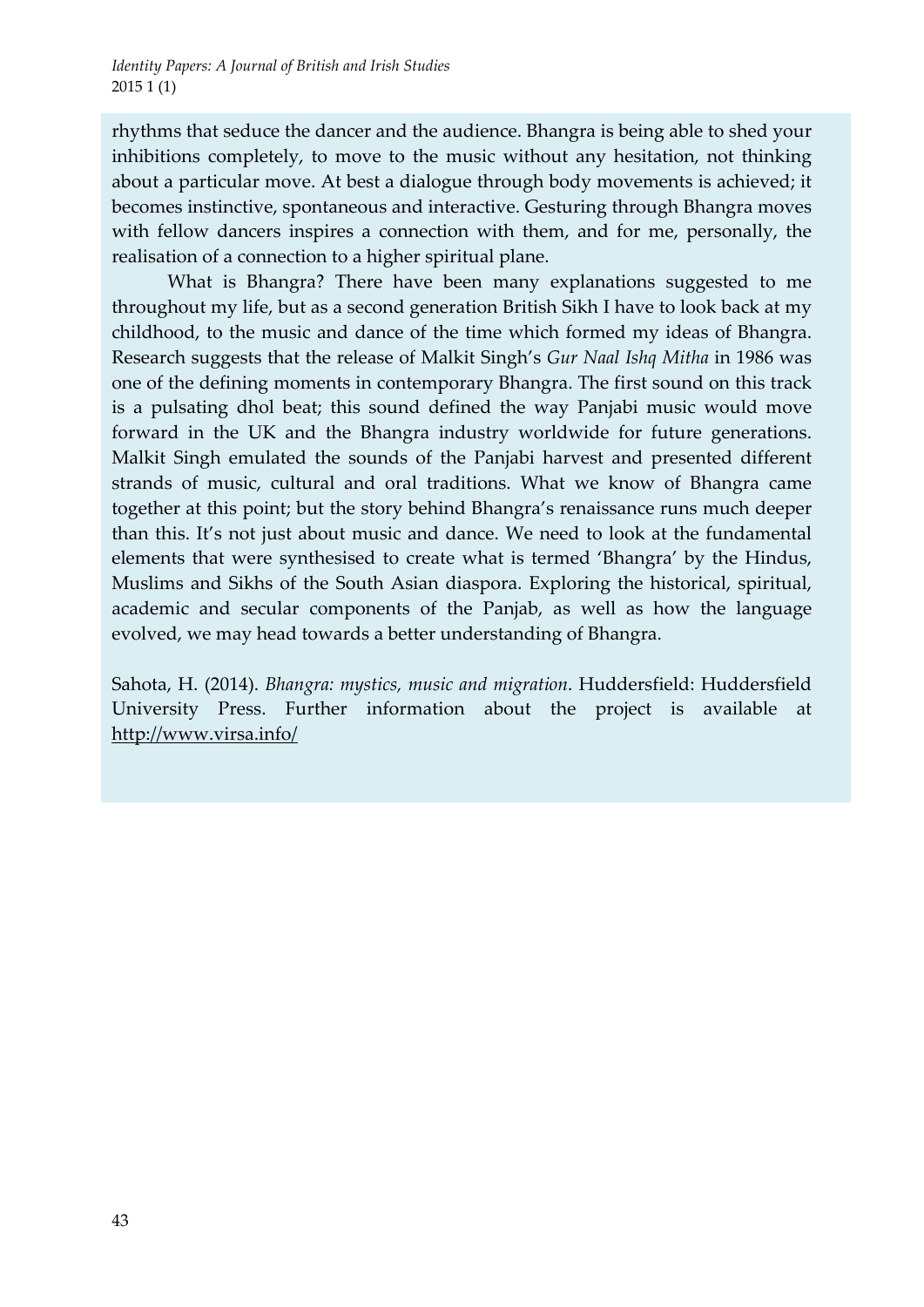rhythms that seduce the dancer and the audience. Bhangra is being able to shed your inhibitions completely, to move to the music without any hesitation, not thinking about a particular move. At best a dialogue through body movements is achieved; it becomes instinctive, spontaneous and interactive. Gesturing through Bhangra moves with fellow dancers inspires a connection with them, and for me, personally, the realisation of a connection to a higher spiritual plane.

What is Bhangra? There have been many explanations suggested to me throughout my life, but as a second generation British Sikh I have to look back at my childhood, to the music and dance of the time which formed my ideas of Bhangra. Research suggests that the release of Malkit Singh's *Gur Naal Ishq Mitha* in 1986 was one of the defining moments in contemporary Bhangra. The first sound on this track is a pulsating dhol beat; this sound defined the way Panjabi music would move forward in the UK and the Bhangra industry worldwide for future generations. Malkit Singh emulated the sounds of the Panjabi harvest and presented different strands of music, cultural and oral traditions. What we know of Bhangra came together at this point; but the story behind Bhangra's renaissance runs much deeper than this. It's not just about music and dance. We need to look at the fundamental elements that were synthesised to create what is termed 'Bhangra' by the Hindus, Muslims and Sikhs of the South Asian diaspora. Exploring the historical, spiritual, academic and secular components of the Panjab, as well as how the language evolved, we may head towards a better understanding of Bhangra.

Sahota, H. (2014). *Bhangra: mystics, music and migration*. Huddersfield: Huddersfield University Press. Further information about the project is available at http://www.virsa.info/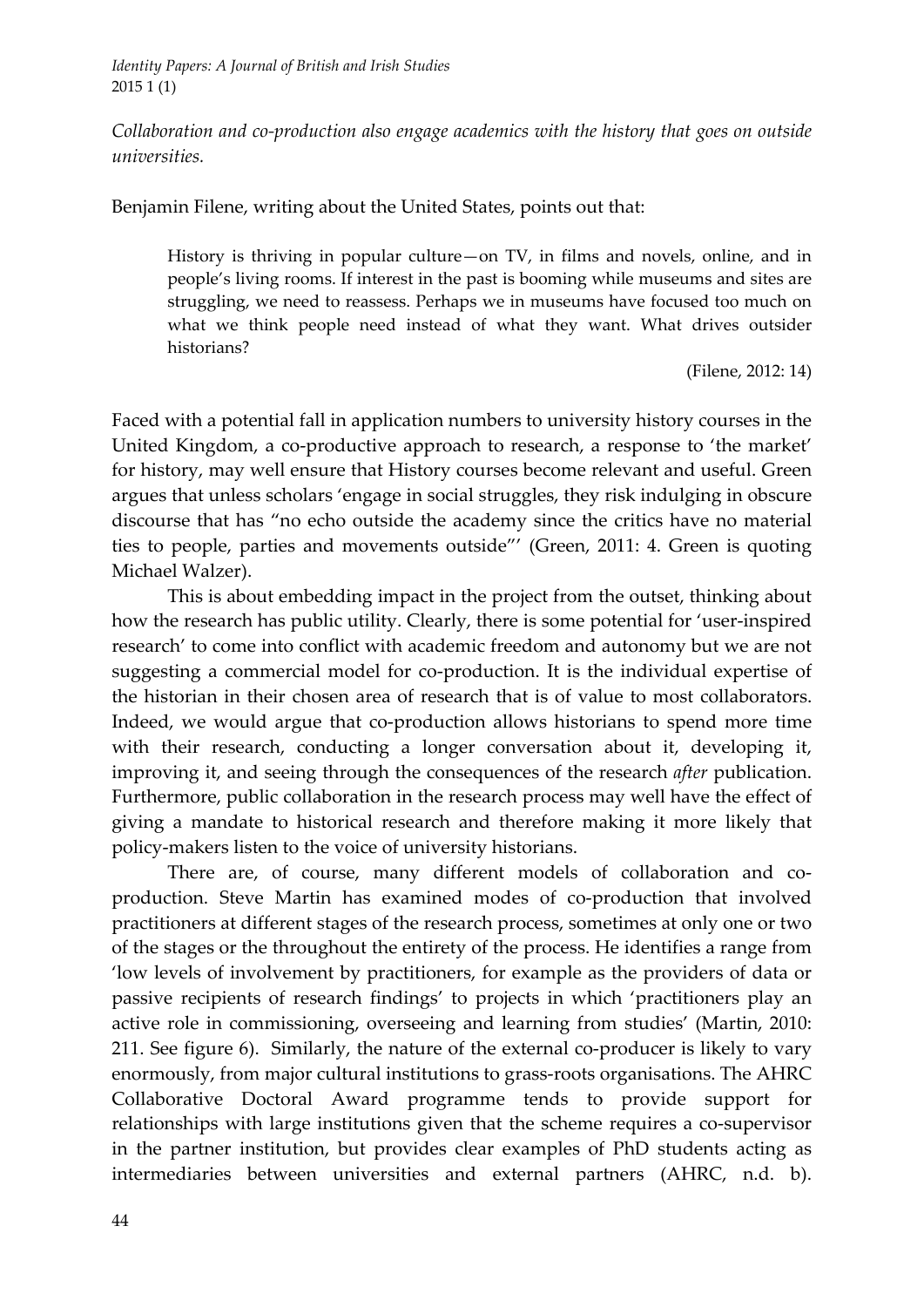*Collaboration and co‐production also engage academics with the history that goes on outside universities.* 

Benjamin Filene, writing about the United States, points out that:

History is thriving in popular culture—on TV, in films and novels, online, and in people's living rooms. If interest in the past is booming while museums and sites are struggling, we need to reassess. Perhaps we in museums have focused too much on what we think people need instead of what they want. What drives outsider historians?

(Filene, 2012: 14)

Faced with a potential fall in application numbers to university history courses in the United Kingdom, a co‐productive approach to research, a response to 'the market' for history, may well ensure that History courses become relevant and useful. Green argues that unless scholars 'engage in social struggles, they risk indulging in obscure discourse that has "no echo outside the academy since the critics have no material ties to people, parties and movements outside"' (Green, 2011: 4. Green is quoting Michael Walzer).

This is about embedding impact in the project from the outset, thinking about how the research has public utility. Clearly, there is some potential for 'user-inspired research' to come into conflict with academic freedom and autonomy but we are not suggesting a commercial model for co-production. It is the individual expertise of the historian in their chosen area of research that is of value to most collaborators. Indeed, we would argue that co-production allows historians to spend more time with their research, conducting a longer conversation about it, developing it, improving it, and seeing through the consequences of the research *after* publication. Furthermore, public collaboration in the research process may well have the effect of giving a mandate to historical research and therefore making it more likely that policy‐makers listen to the voice of university historians.

There are, of course, many different models of collaboration and coproduction. Steve Martin has examined modes of co-production that involved practitioners at different stages of the research process, sometimes at only one or two of the stages or the throughout the entirety of the process. He identifies a range from 'low levels of involvement by practitioners, for example as the providers of data or passive recipients of research findings' to projects in which 'practitioners play an active role in commissioning, overseeing and learning from studies' (Martin, 2010: 211. See figure 6). Similarly, the nature of the external co-producer is likely to vary enormously, from major cultural institutions to grass‐roots organisations. The AHRC Collaborative Doctoral Award programme tends to provide support for relationships with large institutions given that the scheme requires a co-supervisor in the partner institution, but provides clear examples of PhD students acting as intermediaries between universities and external partners (AHRC, n.d. b).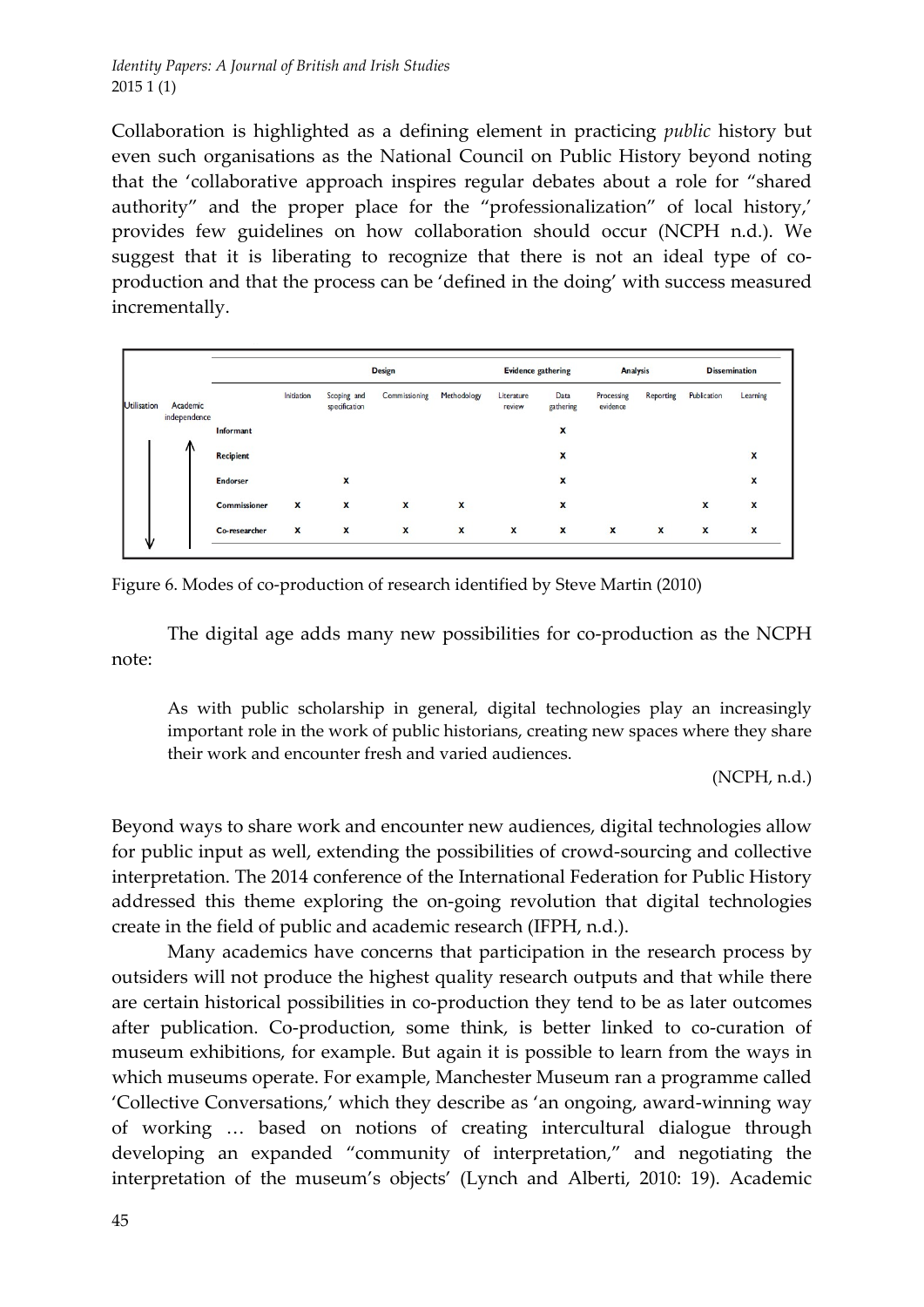Collaboration is highlighted as a defining element in practicing *public* history but even such organisations as the National Council on Public History beyond noting that the 'collaborative approach inspires regular debates about a role for "shared authority" and the proper place for the "professionalization" of local history,' provides few guidelines on how collaboration should occur (NCPH n.d.). We suggest that it is liberating to recognize that there is not an ideal type of coproduction and that the process can be 'defined in the doing' with success measured incrementally.

|                    |                          |                     | <b>Design</b>             |                              |               |              |                      | <b>Evidence gathering</b> |                        | <b>Analysis</b> |             | <b>Dissemination</b>      |  |
|--------------------|--------------------------|---------------------|---------------------------|------------------------------|---------------|--------------|----------------------|---------------------------|------------------------|-----------------|-------------|---------------------------|--|
| <b>Utilisation</b> | Academic<br>independence |                     | <b>Initiation</b>         | Scoping and<br>specification | Commissioning | Methodology  | Literature<br>review | Data<br>gathering         | Processing<br>evidence | Reporting       | Publication | Learning                  |  |
|                    |                          | Informant           |                           |                              |               |              |                      | x                         |                        |                 |             |                           |  |
|                    |                          | <b>Recipient</b>    |                           |                              |               |              |                      | x                         |                        |                 |             | $\boldsymbol{x}$          |  |
|                    |                          | <b>Endorser</b>     |                           | X                            |               |              |                      | $\boldsymbol{\mathsf{x}}$ |                        |                 |             | $\boldsymbol{\mathsf{x}}$ |  |
|                    |                          | <b>Commissioner</b> | X                         | X                            | X             | X            |                      | x                         |                        |                 | x           | X                         |  |
|                    |                          | Co-researcher       | $\boldsymbol{\mathsf{x}}$ | $\boldsymbol{x}$             | $\mathbf{x}$  | $\mathbf{x}$ | $\mathbf{x}$         | X                         | $\mathbf{x}$           | $\mathbf{x}$    | X           | $\boldsymbol{\mathsf{x}}$ |  |

Figure 6. Modes of co-production of research identified by Steve Martin (2010)

The digital age adds many new possibilities for co-production as the NCPH note:

As with public scholarship in general, digital technologies play an increasingly important role in the work of public historians, creating new spaces where they share their work and encounter fresh and varied audiences.

(NCPH, n.d.)

Beyond ways to share work and encounter new audiences, digital technologies allow for public input as well, extending the possibilities of crowd‐sourcing and collective interpretation. The 2014 conference of the International Federation for Public History addressed this theme exploring the on‐going revolution that digital technologies create in the field of public and academic research (IFPH, n.d.).

Many academics have concerns that participation in the research process by outsiders will not produce the highest quality research outputs and that while there are certain historical possibilities in co-production they tend to be as later outcomes after publication. Co‐production, some think, is better linked to co‐curation of museum exhibitions, for example. But again it is possible to learn from the ways in which museums operate. For example, Manchester Museum ran a programme called 'Collective Conversations,' which they describe as 'an ongoing, award‐winning way of working … based on notions of creating intercultural dialogue through developing an expanded "community of interpretation," and negotiating the interpretation of the museum's objects' (Lynch and Alberti, 2010: 19). Academic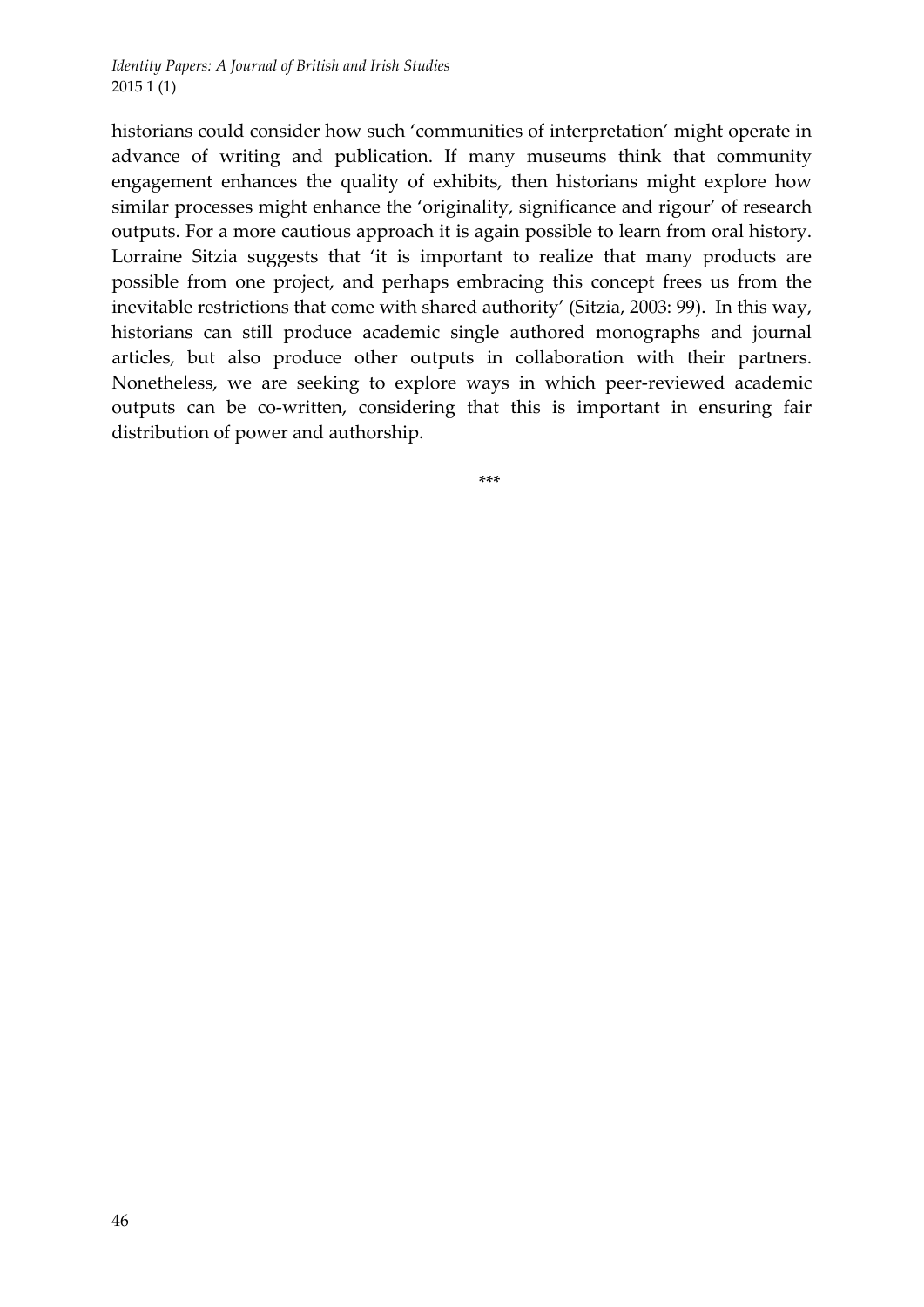historians could consider how such 'communities of interpretation' might operate in advance of writing and publication. If many museums think that community engagement enhances the quality of exhibits, then historians might explore how similar processes might enhance the 'originality, significance and rigour' of research outputs. For a more cautious approach it is again possible to learn from oral history. Lorraine Sitzia suggests that 'it is important to realize that many products are possible from one project, and perhaps embracing this concept frees us from the inevitable restrictions that come with shared authority' (Sitzia, 2003: 99). In this way, historians can still produce academic single authored monographs and journal articles, but also produce other outputs in collaboration with their partners. Nonetheless, we are seeking to explore ways in which peer‐reviewed academic outputs can be co-written, considering that this is important in ensuring fair distribution of power and authorship.

\*\*\*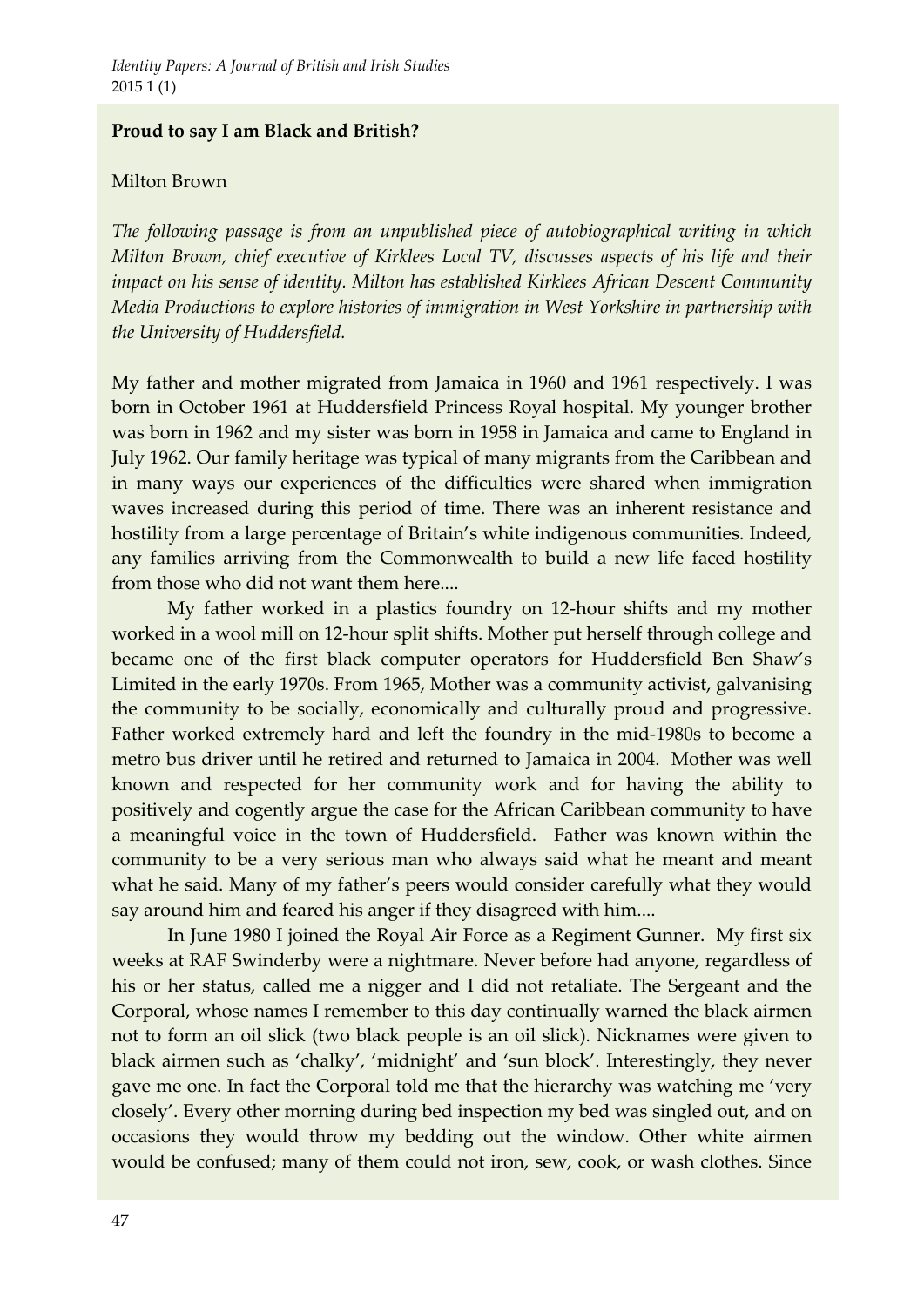# **Proud to say I am Black and British?**

### Milton Brown

*The following passage is from an unpublished piece of autobiographical writing in which Milton Brown, chief executive of Kirklees Local TV, discusses aspects of his life and their impact on his sense of identity. Milton has established Kirklees African Descent Community Media Productions to explore histories of immigration in West Yorkshire in partnership with the University of Huddersfield.* 

My father and mother migrated from Jamaica in 1960 and 1961 respectively. I was born in October 1961 at Huddersfield Princess Royal hospital. My younger brother was born in 1962 and my sister was born in 1958 in Jamaica and came to England in July 1962. Our family heritage was typical of many migrants from the Caribbean and in many ways our experiences of the difficulties were shared when immigration waves increased during this period of time. There was an inherent resistance and hostility from a large percentage of Britain's white indigenous communities. Indeed, any families arriving from the Commonwealth to build a new life faced hostility from those who did not want them here....

My father worked in a plastics foundry on 12‐hour shifts and my mother worked in a wool mill on 12‐hour split shifts. Mother put herself through college and became one of the first black computer operators for Huddersfield Ben Shaw's Limited in the early 1970s. From 1965, Mother was a community activist, galvanising the community to be socially, economically and culturally proud and progressive. Father worked extremely hard and left the foundry in the mid‐1980s to become a metro bus driver until he retired and returned to Jamaica in 2004. Mother was well known and respected for her community work and for having the ability to positively and cogently argue the case for the African Caribbean community to have a meaningful voice in the town of Huddersfield. Father was known within the community to be a very serious man who always said what he meant and meant what he said. Many of my father's peers would consider carefully what they would say around him and feared his anger if they disagreed with him....

In June 1980 I joined the Royal Air Force as a Regiment Gunner. My first six weeks at RAF Swinderby were a nightmare. Never before had anyone, regardless of his or her status, called me a nigger and I did not retaliate. The Sergeant and the Corporal, whose names I remember to this day continually warned the black airmen not to form an oil slick (two black people is an oil slick). Nicknames were given to black airmen such as 'chalky', 'midnight' and 'sun block'. Interestingly, they never gave me one. In fact the Corporal told me that the hierarchy was watching me 'very closely'. Every other morning during bed inspection my bed was singled out, and on occasions they would throw my bedding out the window. Other white airmen would be confused; many of them could not iron, sew, cook, or wash clothes. Since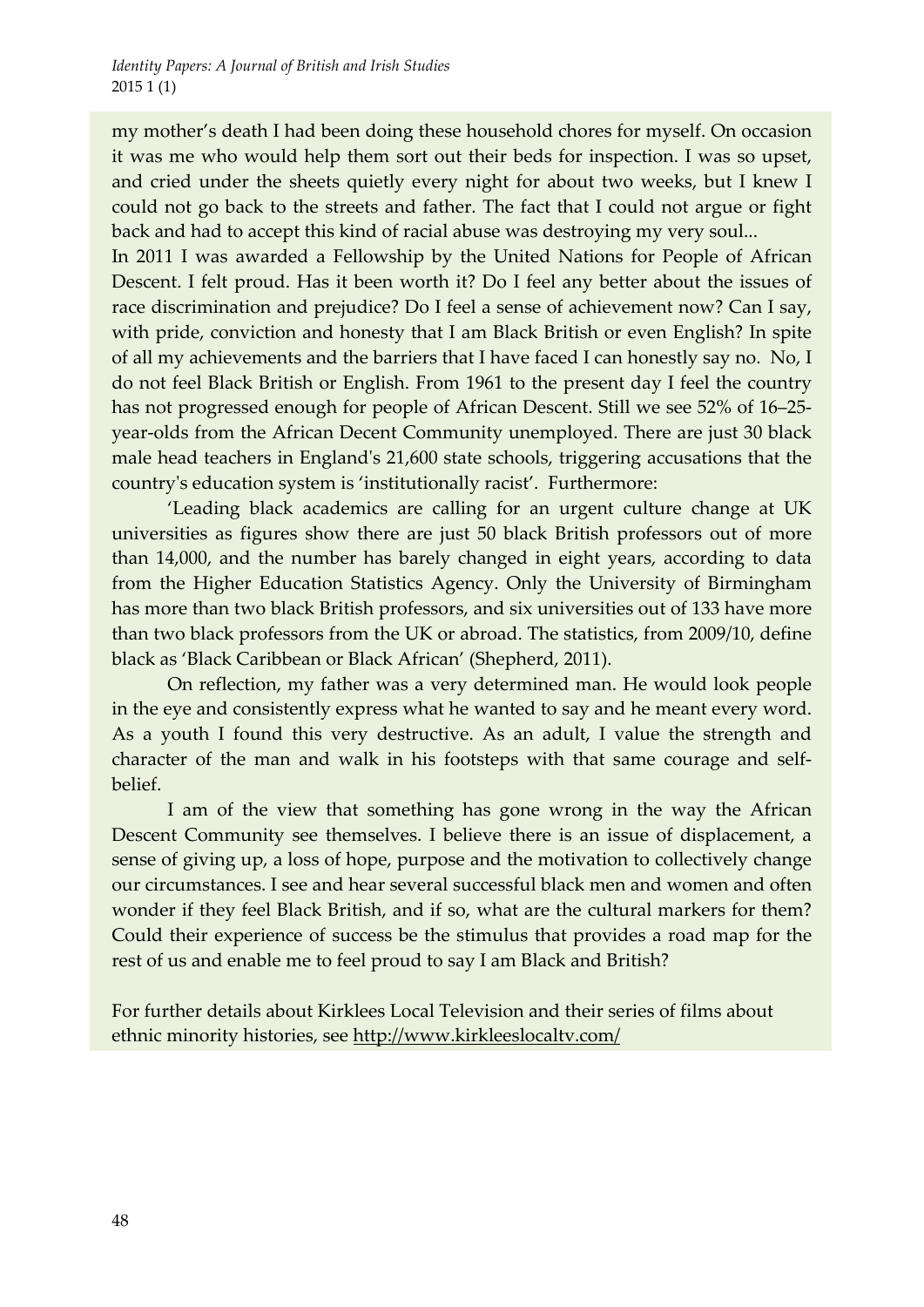my mother's death I had been doing these household chores for myself. On occasion it was me who would help them sort out their beds for inspection. I was so upset, and cried under the sheets quietly every night for about two weeks, but I knew I could not go back to the streets and father. The fact that I could not argue or fight back and had to accept this kind of racial abuse was destroying my very soul...

In 2011 I was awarded a Fellowship by the United Nations for People of African Descent. I felt proud. Has it been worth it? Do I feel any better about the issues of race discrimination and prejudice? Do I feel a sense of achievement now? Can I say, with pride, conviction and honesty that I am Black British or even English? In spite of all my achievements and the barriers that I have faced I can honestly say no. No, I do not feel Black British or English. From 1961 to the present day I feel the country has not progressed enough for people of African Descent. Still we see 52% of 16–25year-olds from the African Decent Community unemployed. There are just 30 black male head teachers in England's 21,600 state schools, triggering accusations that the countryʹs education system is 'institutionally racist'. Furthermore:

'Leading black academics are calling for an urgent culture change at UK universities as figures show there are just 50 black British professors out of more than 14,000, and the number has barely changed in eight years, according to data from the Higher Education Statistics Agency. Only the University of Birmingham has more than two black British professors, and six universities out of 133 have more than two black professors from the UK or abroad. The statistics, from 2009/10, define black as 'Black Caribbean or Black African' (Shepherd, 2011).

On reflection, my father was a very determined man. He would look people in the eye and consistently express what he wanted to say and he meant every word. As a youth I found this very destructive. As an adult, I value the strength and character of the man and walk in his footsteps with that same courage and selfbelief.

I am of the view that something has gone wrong in the way the African Descent Community see themselves. I believe there is an issue of displacement, a sense of giving up, a loss of hope, purpose and the motivation to collectively change our circumstances. I see and hear several successful black men and women and often wonder if they feel Black British, and if so, what are the cultural markers for them? Could their experience of success be the stimulus that provides a road map for the rest of us and enable me to feel proud to say I am Black and British?

For further details about Kirklees Local Television and their series of films about ethnic minority histories, see http://www.kirkleeslocaltv.com/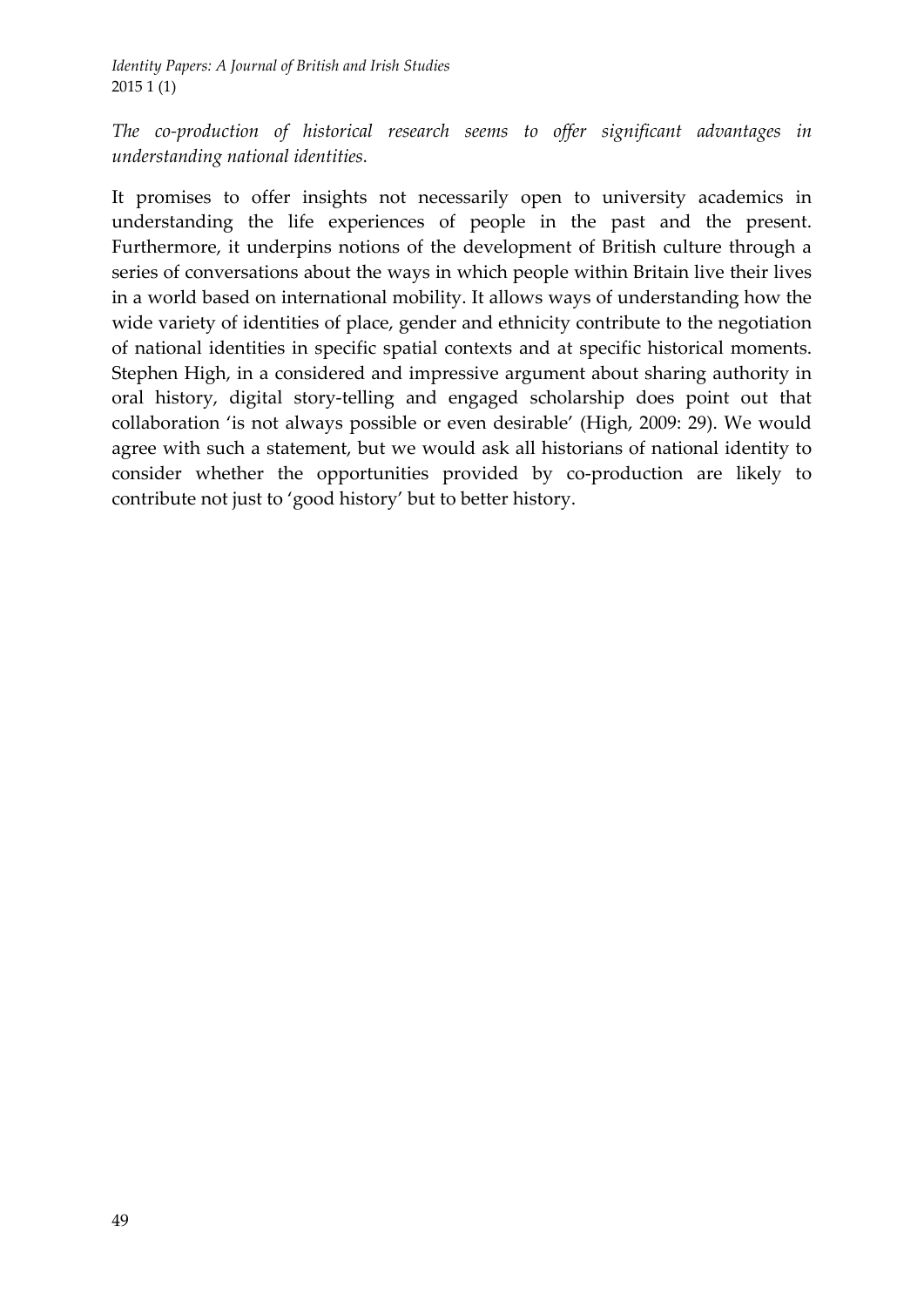*The co‐production of historical research seems to offer significant advantages in understanding national identities.* 

It promises to offer insights not necessarily open to university academics in understanding the life experiences of people in the past and the present. Furthermore, it underpins notions of the development of British culture through a series of conversations about the ways in which people within Britain live their lives in a world based on international mobility. It allows ways of understanding how the wide variety of identities of place, gender and ethnicity contribute to the negotiation of national identities in specific spatial contexts and at specific historical moments. Stephen High, in a considered and impressive argument about sharing authority in oral history, digital story‐telling and engaged scholarship does point out that collaboration 'is not always possible or even desirable' (High, 2009: 29). We would agree with such a statement, but we would ask all historians of national identity to consider whether the opportunities provided by co-production are likely to contribute not just to 'good history' but to better history.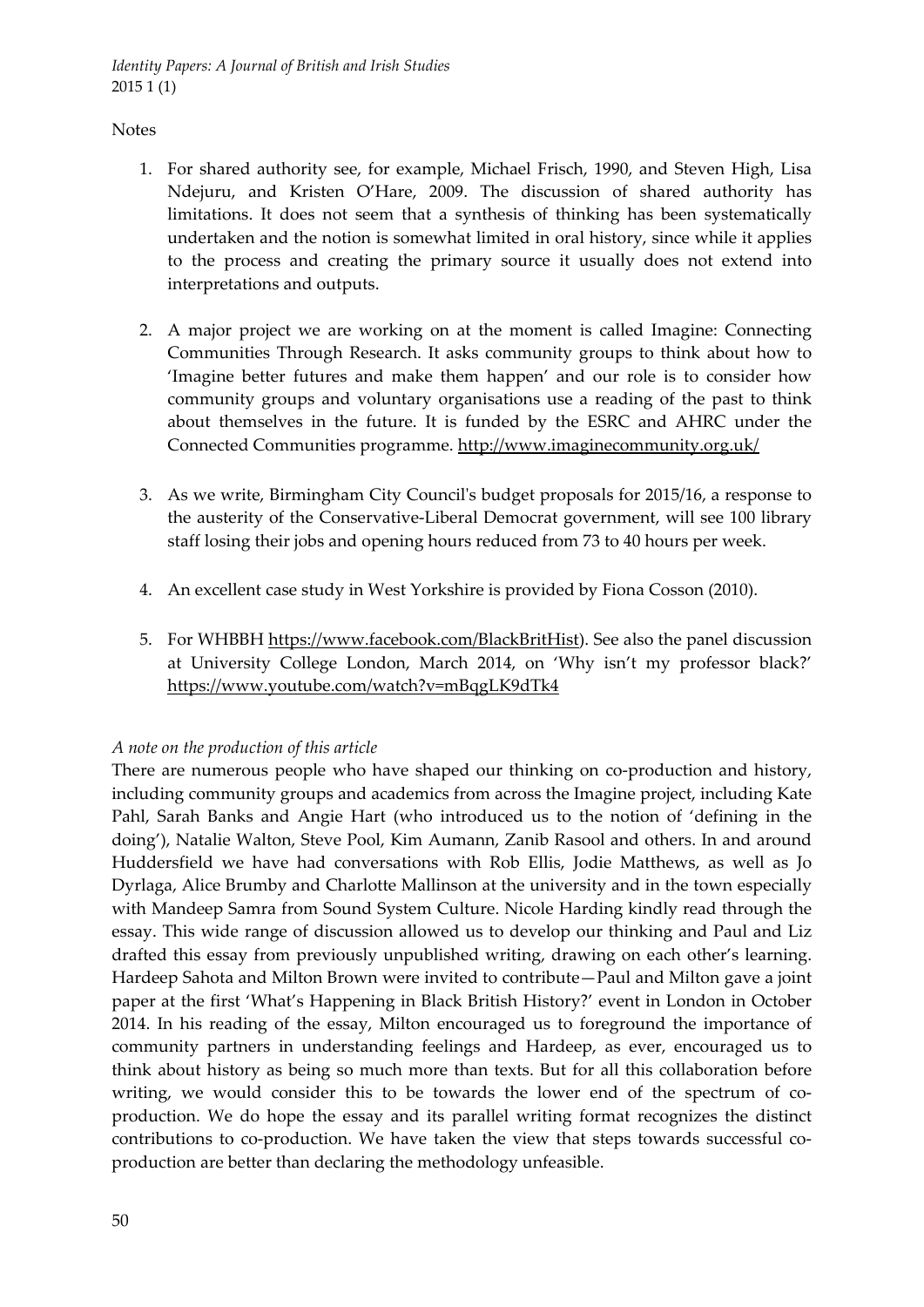#### **Notes**

- 1. For shared authority see, for example, Michael Frisch, 1990, and Steven High, Lisa Ndejuru, and Kristen O'Hare, 2009. The discussion of shared authority has limitations. It does not seem that a synthesis of thinking has been systematically undertaken and the notion is somewhat limited in oral history, since while it applies to the process and creating the primary source it usually does not extend into interpretations and outputs.
- 2. A major project we are working on at the moment is called Imagine: Connecting Communities Through Research. It asks community groups to think about how to 'Imagine better futures and make them happen' and our role is to consider how community groups and voluntary organisations use a reading of the past to think about themselves in the future. It is funded by the ESRC and AHRC under the Connected Communities programme. http://www.imaginecommunity.org.uk/
- 3. As we write, Birmingham City Councilʹs budget proposals for 2015/16, a response to the austerity of the Conservative‐Liberal Democrat government, will see 100 library staff losing their jobs and opening hours reduced from 73 to 40 hours per week.
- 4. An excellent case study in West Yorkshire is provided by Fiona Cosson (2010).
- 5. For WHBBH https://www.facebook.com/BlackBritHist). See also the panel discussion at University College London, March 2014, on 'Why isn't my professor black?' https://www.youtube.com/watch?v=mBqgLK9dTk4

#### *A note on the production of this article*

There are numerous people who have shaped our thinking on co-production and history, including community groups and academics from across the Imagine project, including Kate Pahl, Sarah Banks and Angie Hart (who introduced us to the notion of 'defining in the doing'), Natalie Walton, Steve Pool, Kim Aumann, Zanib Rasool and others. In and around Huddersfield we have had conversations with Rob Ellis, Jodie Matthews, as well as Jo Dyrlaga, Alice Brumby and Charlotte Mallinson at the university and in the town especially with Mandeep Samra from Sound System Culture. Nicole Harding kindly read through the essay. This wide range of discussion allowed us to develop our thinking and Paul and Liz drafted this essay from previously unpublished writing, drawing on each other's learning. Hardeep Sahota and Milton Brown were invited to contribute—Paul and Milton gave a joint paper at the first 'What's Happening in Black British History?' event in London in October 2014. In his reading of the essay, Milton encouraged us to foreground the importance of community partners in understanding feelings and Hardeep, as ever, encouraged us to think about history as being so much more than texts. But for all this collaboration before writing, we would consider this to be towards the lower end of the spectrum of coproduction. We do hope the essay and its parallel writing format recognizes the distinct contributions to co-production. We have taken the view that steps towards successful coproduction are better than declaring the methodology unfeasible.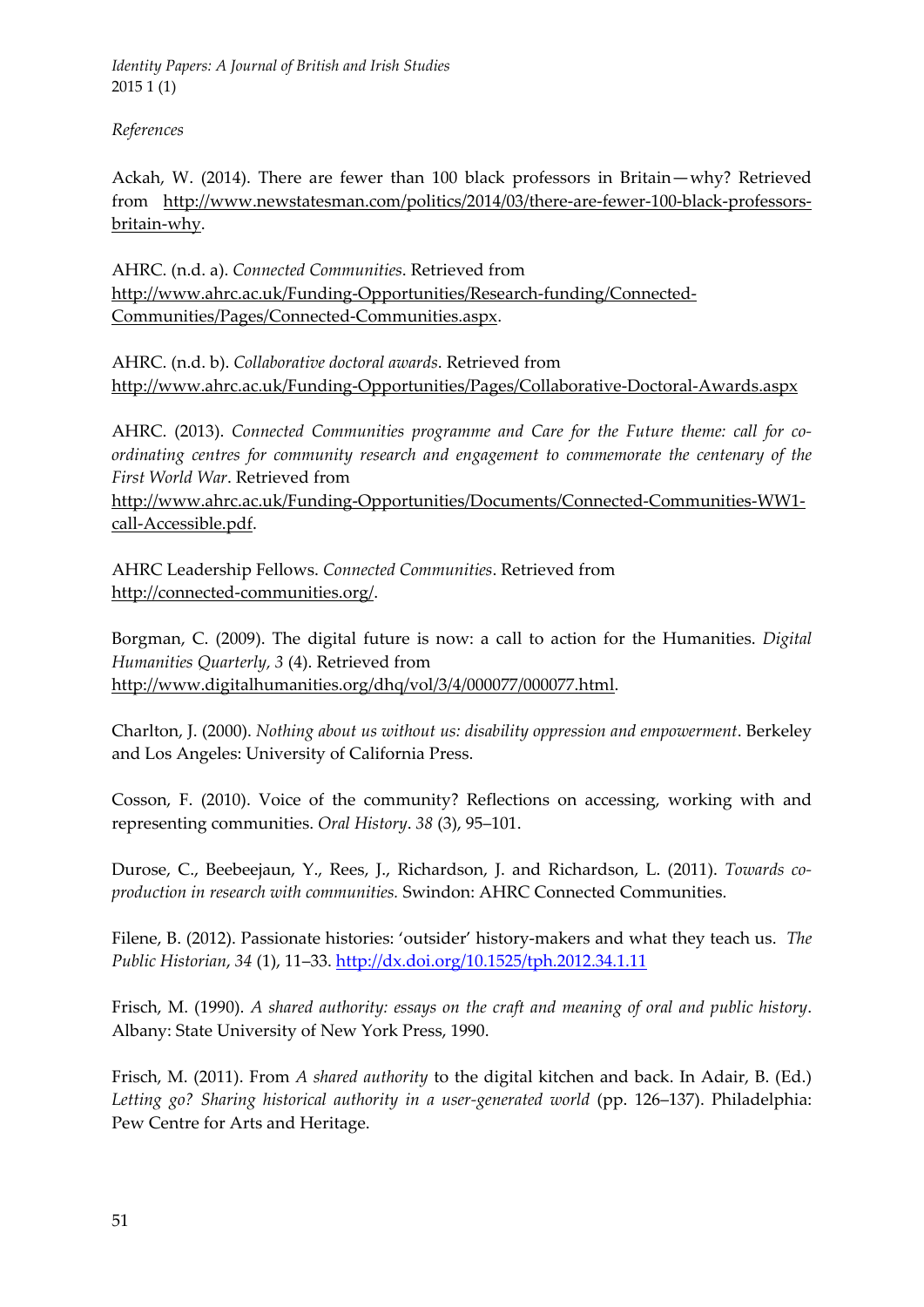*References*

Ackah, W. (2014). There are fewer than 100 black professors in Britain—why? Retrieved from http://www.newstatesman.com/politics/2014/03/there-are-fewer-100-black-professorsbritain‐why.

AHRC. (n.d. a). *Connected Communities*. Retrieved from http://www.ahrc.ac.uk/Funding‐Opportunities/Research‐funding/Connected‐ Communities/Pages/Connected‐Communities.aspx.

AHRC. (n.d. b). *Collaborative doctoral awards*. Retrieved from http://www.ahrc.ac.uk/Funding‐Opportunities/Pages/Collaborative‐Doctoral‐Awards.aspx

AHRC. (2013). *Connected Communities programme and Care for the Future theme: call for co‐ ordinating centres for community research and engagement to commemorate the centenary of the First World War*. Retrieved from

http://www.ahrc.ac.uk/Funding‐Opportunities/Documents/Connected‐Communities‐WW1‐ call‐Accessible.pdf.

AHRC Leadership Fellows. *Connected Communities*. Retrieved from http://connected‐communities.org/.

Borgman, C. (2009). The digital future is now: a call to action for the Humanities. *Digital Humanities Quarterly, 3* (4). Retrieved from http://www.digitalhumanities.org/dhq/vol/3/4/000077/000077.html.

Charlton, J. (2000). *Nothing about us without us: disability oppression and empowerment*. Berkeley and Los Angeles: University of California Press.

Cosson, F. (2010). Voice of the community? Reflections on accessing, working with and representing communities. *Oral History*. *38* (3), 95–101.

Durose, C., Beebeejaun, Y., Rees, J., Richardson, J. and Richardson, L. (2011). *Towards co‐ production in research with communities.* Swindon: AHRC Connected Communities.

Filene, B. (2012). Passionate histories: 'outsider' history‐makers and what they teach us. *The Public Historian*, *34* (1), 11–33. http://dx.doi.org/10.1525/tph.2012.34.1.11

Frisch, M. (1990). *A shared authority: essays on the craft and meaning of oral and public history*. Albany: State University of New York Press, 1990.

Frisch, M. (2011). From *A shared authority* to the digital kitchen and back. In Adair, B. (Ed.) *Letting go? Sharing historical authority in a user‐generated world* (pp. 126–137). Philadelphia: Pew Centre for Arts and Heritage.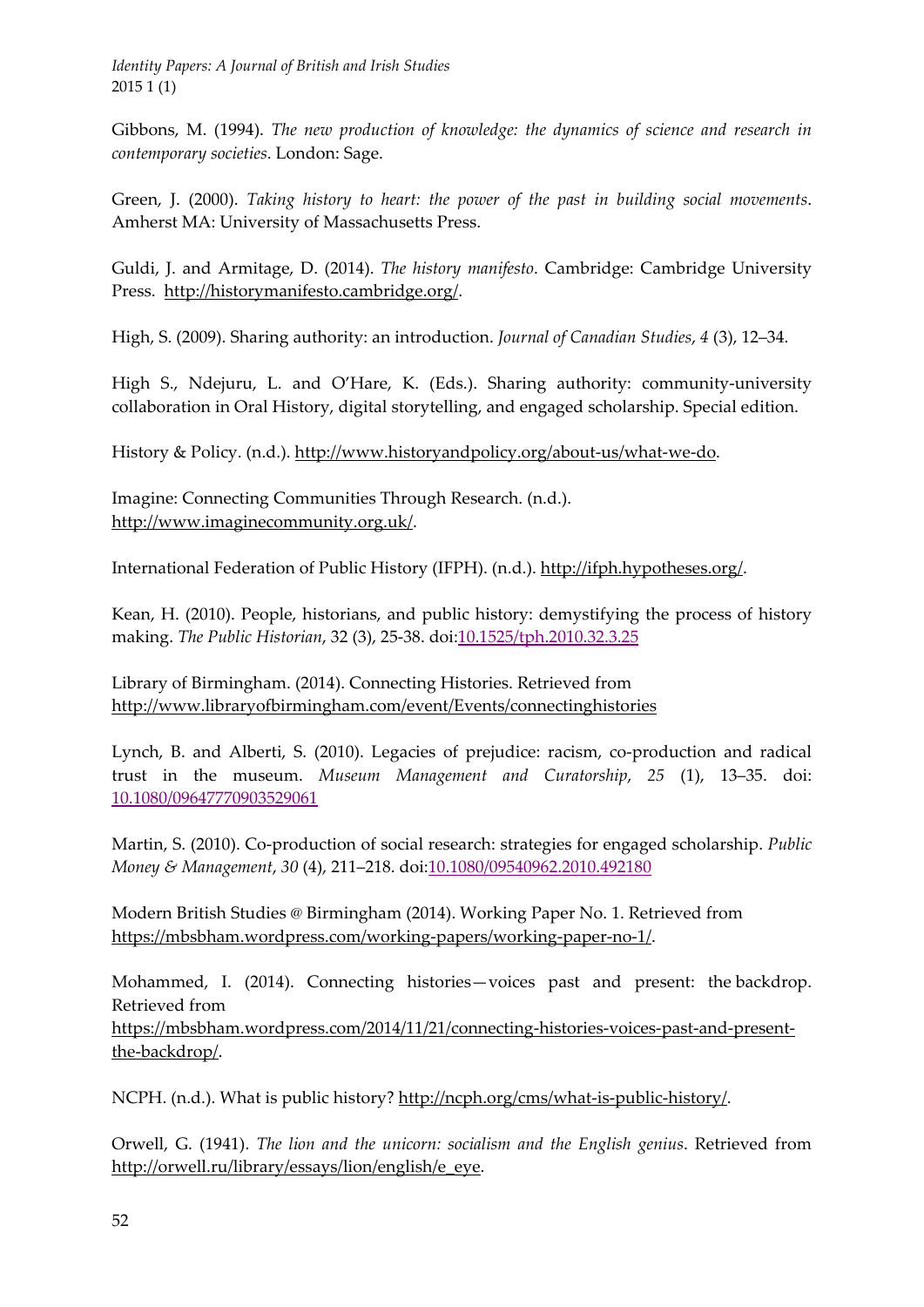Gibbons, M. (1994). *The new production of knowledge: the dynamics of science and research in contemporary societies*. London: Sage.

Green, J. (2000). *Taking history to heart: the power of the past in building social movements*. Amherst MA: University of Massachusetts Press.

Guldi, J. and Armitage, D. (2014). *The history manifesto*. Cambridge: Cambridge University Press. http://historymanifesto.cambridge.org/.

High, S. (2009). Sharing authority: an introduction. *Journal of Canadian Studies*, *4* (3), 12–34.

High S., Ndejuru, L. and O'Hare, K. (Eds.). Sharing authority: community-university collaboration in Oral History, digital storytelling, and engaged scholarship. Special edition.

History & Policy. (n.d.). http://www.historyandpolicy.org/about-us/what-we-do.

Imagine: Connecting Communities Through Research. (n.d.). http://www.imaginecommunity.org.uk/.

International Federation of Public History (IFPH). (n.d.). http://ifph.hypotheses.org/.

Kean, H. (2010). People, historians, and public history: demystifying the process of history making. *The Public Historian*, 32 (3), 25‐38. doi:10.1525/tph.2010.32.3.25

Library of Birmingham. (2014). Connecting Histories. Retrieved from http://www.libraryofbirmingham.com/event/Events/connectinghistories

Lynch, B. and Alberti, S. (2010). Legacies of prejudice: racism, co-production and radical trust in the museum. *Museum Management and Curatorship*, *25* (1), 13–35. doi: 10.1080/09647770903529061

Martin, S. (2010). Co‐production of social research: strategies for engaged scholarship. *Public Money & Management*, *30* (4), 211–218. doi:10.1080/09540962.2010.492180

Modern British Studies @ Birmingham (2014). Working Paper No. 1. Retrieved from https://mbsbham.wordpress.com/working‐papers/working‐paper‐no‐1/.

Mohammed, I. (2014). Connecting histories—voices past and present: the backdrop. Retrieved from https://mbsbham.wordpress.com/2014/11/21/connecting‐histories‐voices‐past‐and‐present‐ the‐backdrop/.

NCPH. (n.d.). What is public history? http://ncph.org/cms/what‐is‐public‐history/.

Orwell, G. (1941). *The lion and the unicorn: socialism and the English genius*. Retrieved from http://orwell.ru/library/essays/lion/english/e\_eye.